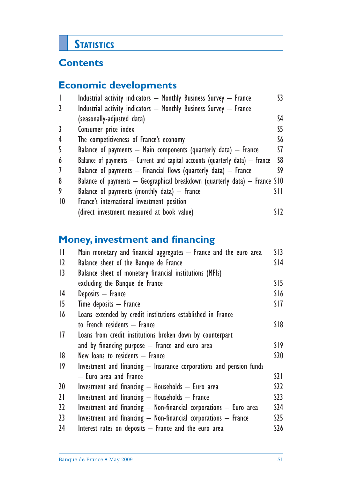# **STATISTICS**

# **Contents**

# **Economic developments**

| $\overline{\phantom{a}}$ | Industrial activity indicators - Monthly Business Survey - France                | S3.  |
|--------------------------|----------------------------------------------------------------------------------|------|
| $\mathbf{2}$             | Industrial activity indicators - Monthly Business Survey - France                |      |
|                          | (seasonally-adjusted data)                                                       | S4   |
| 3                        | Consumer price index                                                             | S5.  |
| 4                        | The competitiveness of France's economy                                          | S6.  |
| 5                        | Balance of payments $-$ Main components (quarterly data) $-$ France              | SZ.  |
| 6                        | Balance of payments $-$ Current and capital accounts (quarterly data) $-$ France | S8   |
| 7                        | Balance of payments $-$ Financial flows (quarterly data) $-$ France              | S9   |
| 8                        | Balance of payments $-$ Geographical breakdown (quarterly data) $-$ France S10   |      |
| 9                        | Balance of payments (monthly data) $-$ France                                    | SI I |
| $\overline{10}$          | France's international investment position                                       |      |
|                          | (direct investment measured at book value)                                       |      |

# **Money, investment and financing**

| $\mathbf{H}$    | Main monetary and financial aggregates – France and the euro area     | SI3             |
|-----------------|-----------------------------------------------------------------------|-----------------|
| $ 2\rangle$     | Balance sheet of the Banque de France                                 | S14             |
| 3               | Balance sheet of monetary financial institutions (MFIs)               |                 |
|                 | excluding the Banque de France                                        | SI5             |
| 4               | Deposits - France                                                     | S16             |
| 15              | $Time$ deposits $-$ France                                            | SI 7            |
| 16              | Loans extended by credit institutions established in France           |                 |
|                 | to French residents - France                                          | S18             |
| 1               | Loans from credit institutions broken down by counterpart             |                 |
|                 | and by financing purpose $-$ France and euro area                     | SI 9            |
| 8               | New loans to residents - France                                       | S20             |
| $ 9\rangle$     | Investment and financing $-$ Insurance corporations and pension funds |                 |
|                 | - Euro area and France                                                | $\Omega$        |
| 20 <sup>°</sup> | Investment and financing $-$ Households $-$ Euro area                 | S22             |
| 21              | Investment and financing $-$ Households $-$ France                    | S <sub>23</sub> |
| 22              | Investment and financing $-$ Non-financial corporations $-$ Euro area | S <sub>24</sub> |
| 23              | Investment and financing - Non-financial corporations - France        | S25             |
| 24              | Interest rates on deposits - France and the euro area                 | \$26            |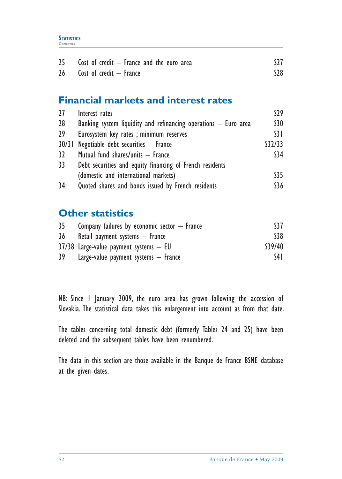| 25 <sub>2</sub> | Cost of credit $-$ France and the euro area |       |
|-----------------|---------------------------------------------|-------|
| 26 <sup>1</sup> | Cost of credit $-$ France                   | $528$ |

# **Financial markets and interest rates**

| 27              | Interest rates                                                  | 529             |
|-----------------|-----------------------------------------------------------------|-----------------|
| 28              | Banking system liquidity and refinancing operations - Euro area | <b>S30</b>      |
| 29              | Eurosystem key rates ; minimum reserves                         | $\overline{31}$ |
| 30/31           | Negotiable debt securities $-$ France                           | \$32/33         |
| 32 <sup>2</sup> | Mutual fund shares/units - France                               | \$34            |
| 33              | Debt securities and equity financing of French residents        |                 |
|                 | (domestic and international markets)                            | \$35            |
| 34              | Quoted shares and bonds issued by French residents              | \$36            |

# **Other statistics**

| 35 | Company failures by economic sector $-$ France | S37     |
|----|------------------------------------------------|---------|
| 36 | Retail payment systems $-$ France              | \$38    |
|    | $37/38$ Large-value payment systems $-$ EU     | \$39/40 |
| 39 | Large-value payment systems $-$ France         | S4 I    |

NB: Since 1 January 2009, the euro area has grown following the accession of Slovakia. The statistical data takes this enlargement into account as from that date.

The tables concerning total domestic debt (formerly Tables 24 and 25) have been deleted and the subsequent tables have been renumbered.

The data in this section are those available in the Banque de France BSME database at the given dates.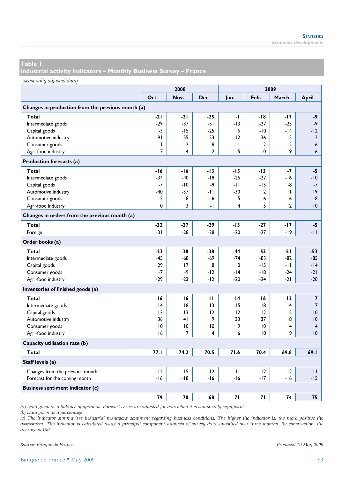**Industrial activity indicators – Monthly Business Survey – France** 

*(seasonally-adjusted data)*

|                                                   |              | 2008           |                 |                 | 2009  |       |                         |
|---------------------------------------------------|--------------|----------------|-----------------|-----------------|-------|-------|-------------------------|
|                                                   | Oct.         | Nov.           | Dec.            | Jan.            | Feb.  | March | April                   |
| Changes in production from the previous month (a) |              |                |                 |                 |       |       |                         |
| Total                                             | $-21$        | $-21$          | $-25$           | -1              | $-18$ | $-17$ | -9                      |
| Intermediate goods                                | $-29$        | $-37$          | $-51$           | $-13$           | $-27$ | $-25$ | $-9$                    |
| Capital goods                                     | $-3$         | $-15$          | $-25$           | 6               | $-10$ | -14   | $-12$                   |
| Automotive industry                               | $-91$        | $-55$          | $-53$           | 12              | $-36$ | $-15$ | $\overline{2}$          |
| Consumer goods                                    | $\mathbf{I}$ | $-2$           | -8              | T               | $-2$  | -12   | $-6$                    |
| Agri-food industry                                | $-7$         | 4              | $\overline{2}$  | 5               | 0     | -9    | 6                       |
| Production forecasts (a)                          |              |                |                 |                 |       |       |                         |
| Total                                             | -16          | -16            | $-13$           | -15             | $-13$ | -7    | $-5$                    |
| Intermediate goods                                | $-34$        | $-40$          | -18             | $-26$           | $-27$ | -16   | -10                     |
| Capital goods                                     | $-7$         | $-10$          | -9              | -11             | $-15$ | -8    | $-7$                    |
| Automotive industry                               | -40          | $-37$          | -11             | -30             | 2     | Ш     | 9                       |
| Consumer goods                                    | 5            | 8              | 6               | 5               | 6     | 6     | 8                       |
| Agri-food industry                                | 0            | 3              | $\mathbf{I}$    | 4               | 5     | 12    | 10                      |
| Changes in orders from the previous month (a)     |              |                |                 |                 |       |       |                         |
| <b>Total</b>                                      | $-32$        | $-27$          | $-29$           | -13             | $-27$ | -17   | $-5$                    |
| Foreign                                           | $-31$        | $-28$          | $-28$           | $-20$           | $-27$ | -19   | -11                     |
| Order books (a)                                   |              |                |                 |                 |       |       |                         |
| Total                                             | $-23$        | $-38$          | $-38$           | -44             | $-53$ | $-51$ | $-53$                   |
| Intermediate goods                                | $-45$        | -68            | $-69$           | $-74$           | $-83$ | -82   | $-85$                   |
| Capital goods                                     | 29           | 17             | 8               | 0               | $-15$ | -11   | $-14$                   |
| Consumer goods                                    | $-7$         | -9             | -12             | -14             | $-18$ | $-24$ | $-21$                   |
| Agri-food industry                                | -29          | $-23$          | -12             | $-20$           | $-24$ | $-21$ | $-20$                   |
| Inventories of finished goods (a)                 |              |                |                 |                 |       |       |                         |
| Total                                             | 16           | 16             | п               | $\overline{14}$ | 16    | 12    | $\overline{\mathbf{z}}$ |
| Intermediate goods                                | 4            | 8              | 3               | 15              | 18    | 4     | $\overline{7}$          |
| Capital goods                                     | 13           | 13             | 12              | 12              | 12    | 12    | 10                      |
| Automotive industry                               | 36           | 41             | 9               | 33              | 37    | 18    | 10                      |
| Consumer goods                                    | 10           | 10             | $\overline{10}$ | 9               | 10    | 4     | $\overline{4}$          |
| Agri-food industry                                | 16           | $\overline{7}$ | 4               | 6               | 10    | 9     | 10                      |
| Capacity utilisation rate (b)                     |              |                |                 |                 |       |       |                         |
| <b>Total</b>                                      | 77.1         | 74.2           | 70.5            | 71.6            | 70.4  | 69.8  | 69.I                    |
| Staff levels (a)                                  |              |                |                 |                 |       |       |                         |
| Changes from the previous month                   | $-12$        | $-15$          | -12             | $-11$           | $-12$ | $-12$ | -11                     |
| Forecast for the coming month                     | -16          | -18            | -16             | $-16$           | $-17$ | -16   | $-15$                   |
| <b>Business sentiment indicator (c)</b>           |              |                |                 |                 |       |       |                         |
|                                                   | 79           | 70             | 68              | 71              | 71    | 74    | 75                      |

*(a) Data given as a balance of opinions. Forecast series are adjusted for bias when it is statistically significant.* 

*(b) Data given as a percentage.* 

*(c) The indicator summarises industrial managers' sentiment regarding business conditions. The higher the indicator is, the more positive the assessment. The indicator is calculated using a principal component analysis of survey data smoothed over three months. By construction, the average is 100.* 

*Source: Banque de France. Produced 19 May 2009*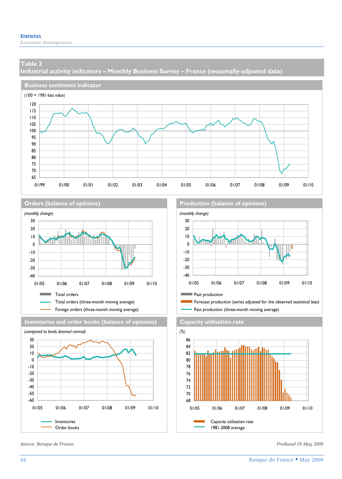*Economic developments* 

#### **Table 2**

**Industrial activity indicators – Monthly Business Survey – France (seasonally-adjusted data)** 









*Source: Banque de France. Produced 19 May 2009* 

**Orders (balance of opinions) Production (balance of opinions)** 



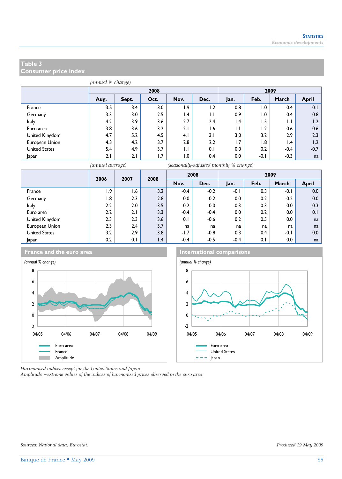**Consumer price index** 

|                      | (annual % change) |       |      |                 |      |              |        |                 |              |
|----------------------|-------------------|-------|------|-----------------|------|--------------|--------|-----------------|--------------|
|                      |                   |       | 2008 |                 | 2009 |              |        |                 |              |
|                      | Aug.              | Sept. | Oct. | Nov.            | Dec. | Jan.         | Feb.   | March           | <b>April</b> |
| France               | 3.5               | 3.4   | 3.0  | 1.9             | 1.2  | 0.8          | 1.0    | 0.4             | 0.1          |
| Germany              | 3.3               | 3.0   | 2.5  | $\mathsf{I}$ .4 | IJ   | 0.9          | 1.0    | 0.4             | 0.8          |
| Italy                | 4.2               | 3.9   | 3.6  | 2.7             | 2.4  | 1.4          | 1.5    | $\mathsf{L}$    | 1.2          |
| Euro area            | 3.8               | 3.6   | 3.2  | 2.1             | 1.6  | $\mathsf{L}$ | 1.2    | 0.6             | 0.6          |
| United Kingdom       | 4.7               | 5.2   | 4.5  | 4.1             | 3.1  | 3.0          | 3.2    | 2.9             | 2.3          |
| European Union       | 4.3               | 4.2   | 3.7  | 2.8             | 2.2  | 1.7          | 1.8    | $\mathsf{I}$ .4 | 1.2          |
| <b>United States</b> | 5.4               | 4.9   | 3.7  | $\mathsf{L}$    | 0.1  | 0.0          | 0.2    | $-0.4$          | $-0.7$       |
| Japan                | 2.1               | 2.1   | 1.7  | 0.1             | 0.4  | 0.0          | $-0.1$ | $-0.3$          | na           |

*(annual average) (seasonally-adjusted monthly % change)*

|                | 2006 | 2007 | 2008            |         | 2008   |        |      | 2009   |              |
|----------------|------|------|-----------------|---------|--------|--------|------|--------|--------------|
|                |      |      |                 | Nov.    | Dec.   | Jan.   | Feb. | March  | <b>April</b> |
| France         | 1.9  | 6. ا | 3.2             | $-0.4$  | $-0.2$ | $-0.1$ | 0.3  | $-0.1$ | 0.0          |
| Germany        | 1.8  | 2.3  | 2.8             | $0.0\,$ | $-0.2$ | 0.0    | 0.2  | $-0.2$ | 0.0          |
| Italy          | 2.2  | 2.0  | 3.5             | $-0.2$  | 0.0    | $-0.3$ | 0.3  | 0.0    | 0.3          |
| Euro area      | 2.2  | 2.1  | 3.3             | $-0.4$  | $-0.4$ | 0.0    | 0.2  | 0.0    | 0.1          |
| United Kingdom | 2.3  | 2.3  | 3.6             | 0.1     | $-0.6$ | 0.2    | 0.5  | 0.0    | na           |
| European Union | 2.3  | 2.4  | 3.7             | na      | na     | na     | na   | na     | na           |
| United States  | 3.2  | 2.9  | 3.8             | $-1.7$  | $-0.8$ | 0.3    | 0.4  | $-0.1$ | 0.0          |
| Japan          | 0.2  | 0.1  | $\mathsf{I}$ .4 | $-0.4$  | $-0.5$ | $-0.4$ | 0.1  | 0.0    | na           |







*Harmonised indices except for the United States and Japan.* 

*Amplitude =extreme values of the indices of harmonised prices observed in the euro area.*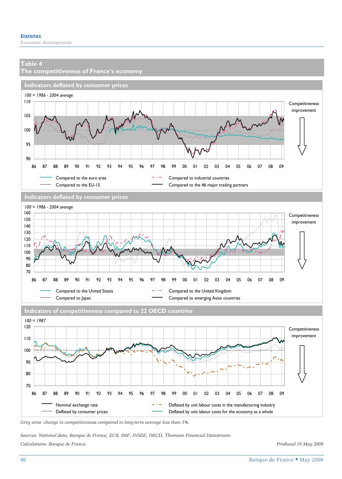**The competitiveness of France's economy Indicators deflated by consumer prices** *100 = 1986 - 2004 average* Compared to the euro area  $-$  Compared to industrial countries Compared to the EU-15 Compared to the 46 major trading partners **Indicators deflated by consumer prices** *100 = 1986 - 2004 average* Compared to the United States  $-$  Compared to the United Kingdom Compared to Japan **Compared to emerging Asian countries Indicators of competitiveness compared to 22 OECD countries** *100 = 1987* Competitiveness improvement Competitiveness improvement Competitiveness improvement 120 90 95 100 105 110 86 87 88 89 90 91 92 93 94 95 96 97 98 99 00 01 02 03 04 05 06 07 08 09 70 80 90 100 110 120 130 140 150 160 86 87 88 89 90 91 92 93 94 95 96 97 98 99 00 01 02 03 04 05 06 07 08 09

Nominal exchange rate  $-$  Deflated by unit labour costs in the manufacturing industry Deflated by consumer prices **Deflated by unit labour costs for the economy as a whole** 70 80 90 100 110 86 87 88 89 90 91 92 93 94 95 96 97 98 99 00 01 02 03 04 05 06 07 08 09

*Grey area: change in competitiveness compared to long-term average less than 5%.* 

*Sources: National data, Banque de France, ECB, IMF, INSEE, OECD, Thomson Financial Datastream. Calculations: Banque de France. Produced 19 May 2009*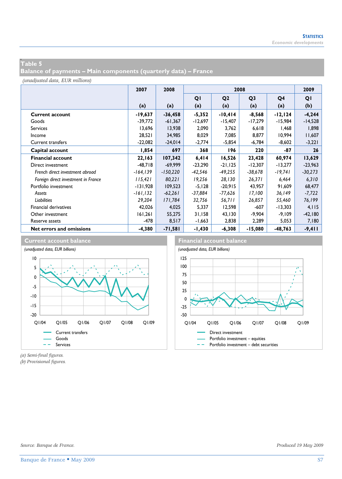# **w Table 5**

**Balance of payments – Main components (quarterly data) – France** 

*(unadjusted data, EUR millions)*

|                                     | 2007        | 2008       |           |                | 2009           |           |           |
|-------------------------------------|-------------|------------|-----------|----------------|----------------|-----------|-----------|
|                                     |             |            | QI        | Q <sub>2</sub> | Q <sub>3</sub> | Q4        | QI        |
|                                     | (a)         | (a)        | (a)       | (a)            | (a)            | (a)       | (b)       |
| <b>Current account</b>              | -19,637     | $-36,458$  | $-5,352$  | $-10,414$      | $-8,568$       | -12,124   | $-4,244$  |
| Goods                               | $-39,772$   | $-61,367$  | $-12,697$ | $-15,407$      | $-17,279$      | -15,984   | $-14,528$ |
| <b>Services</b>                     | 13,696      | 13,938     | 2,090     | 3,762          | 6,618          | 1,468     | 1,898     |
| Income                              | 28,521      | 34,985     | 8,029     | 7,085          | 8,877          | 10,994    | 11,607    |
| <b>Current transfers</b>            | $-22,082$   | $-24,014$  | $-2,774$  | $-5,854$       | $-6,784$       | $-8,602$  | $-3,221$  |
| Capital account                     | 1,854       | 697        | 368       | 196            | 220            | -87       | 26        |
| <b>Financial account</b>            | 22,163      | 107,342    | 6,414     | 16,526         | 23,428         | 60,974    | 13,629    |
| Direct investment                   | $-48.718$   | $-69.999$  | $-23,290$ | $-21, 125$     | $-12,307$      | $-13,277$ | $-23,963$ |
| French direct investment abroad     | $-164, 139$ | $-150,220$ | -42,546   | $-49,255$      | $-38,678$      | $-19,741$ | $-30,273$ |
| Foreign direct investment in France | 115,421     | 80,221     | 19,256    | 28,130         | 26,371         | 6,464     | 6,310     |
| Portfolio investment                | $-131,928$  | 109,523    | $-5,128$  | $-20.915$      | 43,957         | 91,609    | 68,477    |
| Assets                              | $-161, 132$ | $-62,261$  | -37,884   | $-77,626$      | 17,100         | 36,149    | $-7,722$  |
| Liabilities                         | 29,204      | 171,784    | 32,756    | 56,711         | 26,857         | 55,460    | 76,199    |
| <b>Financial derivatives</b>        | 42,026      | 4,025      | 5,337     | 12,598         | $-607$         | $-13,303$ | 4,115     |
| Other investment                    | 161,261     | 55,275     | 31,158    | 43,130         | -9,904         | $-9,109$  | $-42,180$ |
| Reserve assets                      | -478        | 8,517      | $-1,663$  | 2,838          | 2,289          | 5,053     | 7,180     |
| Net errors and omissions            | -4,380      | $-71,581$  | -1,430    | $-6,308$       | $-15,080$      | -48,763   | $-9,411$  |



*(a) Semi-final figures.*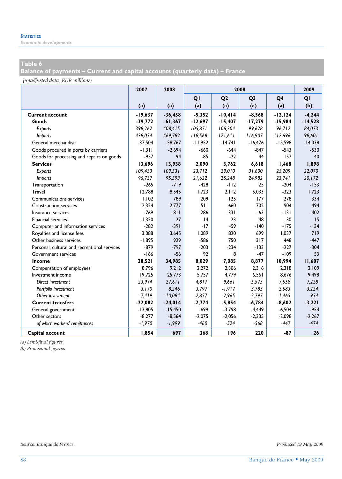*Economic developments* 

# **Table 6**

**Balance of payments – Current and capital accounts (quarterly data) – France** 

*(unadjusted data, EUR millions)*

|                                              | 2007      | 2008      |           |                | 2008           |            | 2009      |
|----------------------------------------------|-----------|-----------|-----------|----------------|----------------|------------|-----------|
|                                              |           |           | QI        | Q <sub>2</sub> | Q <sub>3</sub> | Q4         | QI        |
|                                              | (a)       | (a)       | (a)       | (a)            | (a)            | (a)        | (b)       |
| <b>Current account</b>                       | $-19,637$ | $-36,458$ | $-5,352$  | $-10,414$      | $-8,568$       | $-12, 124$ | $-4,244$  |
| Goods                                        | $-39,772$ | $-61,367$ | $-12,697$ | $-15,407$      | $-17,279$      | $-15,984$  | $-14,528$ |
| Exports                                      | 398,262   | 408,415   | 105,871   | 106,204        | 99,628         | 96,712     | 84,073    |
| Imports                                      | 438,034   | 469,782   | 118,568   | 121,611        | 116,907        | 112,696    | 98,601    |
| General merchandise                          | $-37,504$ | $-58,767$ | $-11,952$ | $-14,741$      | $-16,476$      | $-15,598$  | $-14,038$ |
| Goods procured in ports by carriers          | $-1,311$  | $-2.694$  | $-660$    | $-644$         | $-847$         | $-543$     | $-530$    |
| Goods for processing and repairs on goods    | $-957$    | 94        | $-85$     | $-22$          | 44             | 157        | 40        |
| <b>Services</b>                              | 13,696    | 13,938    | 2.090     | 3,762          | 6,618          | 1,468      | 1,898     |
| Exports                                      | 109,433   | 109,531   | 23,712    | 29,010         | 31,600         | 25,209     | 22,070    |
| <i>Imports</i>                               | 95,737    | 95,593    | 21,622    | 25,248         | 24,982         | 23,741     | 20, 172   |
| Transportation                               | $-265$    | $-719$    | $-428$    | $-112$         | 25             | $-204$     | $-153$    |
| Travel                                       | 12.788    | 8,545     | 1.723     | 2.112          | 5,033          | $-323$     | 1,723     |
| Communications services                      | 1,102     | 789       | 209       | 125            | 177            | 278        | 334       |
| <b>Construction services</b>                 | 2.324     | 2,777     | 511       | 660            | 702            | 904        | 494       |
| Insurance services                           | $-769$    | $-811$    | $-286$    | $-331$         | $-63$          | $-131$     | $-402$    |
| <b>Financial services</b>                    | $-1,350$  | 27        | $-14$     | 23             | 48             | $-30$      | 15        |
| Computer and information services            | $-282$    | $-391$    | $-17$     | $-59$          | $-140$         | $-175$     | $-134$    |
| Royalties and license fees                   | 3.088     | 3.645     | 1.089     | 820            | 699            | 1.037      | 719       |
| Other business services                      | $-1,895$  | 929       | $-586$    | 750            | 317            | 448        | $-447$    |
| Personal, cultural and recreational services | $-879$    | $-797$    | $-203$    | $-234$         | $-133$         | $-227$     | $-304$    |
| Government services                          | $-166$    | $-56$     | 92        | 8              | $-47$          | $-109$     | 53        |
| Income                                       | 28,521    | 34,985    | 8,029     | 7,085          | 8,877          | 10,994     | 11,607    |
| Compensation of employees                    | 8,796     | 9,212     | 2,272     | 2,306          | 2,316          | 2,318      | 2,109     |
| Investment income                            | 19,725    | 25,773    | 5,757     | 4,779          | 6,561          | 8,676      | 9,498     |
| Direct investment                            | 23,974    | 27,611    | 4,817     | 9,661          | 5,575          | 7,558      | 7,228     |
| Portfolio investment                         | 3,170     | 8,246     | 3,797     | $-1,917$       | 3,783          | 2,583      | 3,224     |
| Other investment                             | $-7,419$  | $-10,084$ | $-2,857$  | $-2,965$       | $-2,797$       | $-1,465$   | $-954$    |
| <b>Current transfers</b>                     | $-22,082$ | $-24,014$ | $-2,774$  | $-5,854$       | $-6,784$       | $-8,602$   | $-3,221$  |
| General government                           | $-13,805$ | $-15,450$ | -699      | $-3,798$       | $-4,449$       | $-6,504$   | $-954$    |
| Other sectors                                | $-8,277$  | $-8,564$  | $-2,075$  | $-2,056$       | $-2,335$       | $-2,098$   | $-2,267$  |
| of which workers' remittances                | $-1,970$  | $-1,999$  | $-460$    | $-524$         | $-568$         | $-447$     | $-474$    |
| Capital account                              | 1,854     | 697       | 368       | 196            | 220            | $-87$      | 26        |

*(a) Semi-final figures.*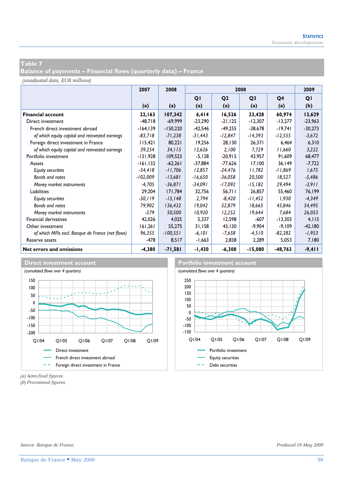**Balance of payments – Financial flows (quarterly data) – France** 

*(unadjusted data, EUR millions)*

|                                                  | 2007        | 2008       |           | 2008           |                |           |           |  |
|--------------------------------------------------|-------------|------------|-----------|----------------|----------------|-----------|-----------|--|
|                                                  |             |            | QI        | Q <sub>2</sub> | Q <sub>3</sub> | Q4        | QI        |  |
|                                                  | (a)         | (a)        | (a)       | (a)            | (a)            | (a)       | (b)       |  |
| <b>Financial account</b>                         | 22,163      | 107,342    | 6,414     | 16,526         | 23,428         | 60,974    | 13,629    |  |
| Direct investment                                | $-48,718$   | $-69.999$  | $-23,290$ | $-21, 125$     | -12,307        | $-13,277$ | $-23,963$ |  |
| French direct investment abroad                  | $-164, 139$ | $-150,220$ | $-42,546$ | $-49,255$      | -38,678        | -19,741   | $-30,273$ |  |
| of which equity capital and reinvested earnings  | $-83,718$   | $-71,238$  | -31,443   | -12,847        | -14,393        | $-12,555$ | $-3,672$  |  |
| Foreign direct investment in France              | 115,421     | 80,221     | 19,256    | 28,130         | 26,371         | 6,464     | 6,310     |  |
| of which equity capital and reinvested earnings  | 39,254      | 34.115     | 12,626    | 2.100          | 7,729          | 11,660    | 3,222     |  |
| Portfolio investment                             | -131,928    | 109,523    | $-5,128$  | $-20,915$      | 43,957         | 91,609    | 68,477    |  |
| Assets                                           | $-161, 132$ | $-62,261$  | $-37,884$ | $-77,626$      | 17,100         | 36,149    | $-7,722$  |  |
| <b>Equity securities</b>                         | $-54,418$   | $-11,706$  | 12,857    | -24,476        | 11,782         | -11,869   | 1,675     |  |
| Bonds and notes                                  | $-102,009$  | $-13,681$  | -16,650   | $-36,058$      | 20,500         | 18,527    | $-5,486$  |  |
| Money market instruments                         | -4,705      | $-36,871$  | $-34,091$ | -17,092        | $-15,182$      | 29,494    | $-3,911$  |  |
| Liabilities                                      | 29.204      | 171.784    | 32,756    | 56,711         | 26,857         | 55,460    | 76,199    |  |
| <b>Equity securities</b>                         | $-50, 119$  | $-15, 148$ | 2,794     | $-8,420$       | $-11,452$      | 1,930     | $-4,349$  |  |
| Bonds and notes                                  | 79,902      | 136,432    | 19,042    | 52,879         | 18,665         | 45,846    | 54,495    |  |
| Money market instruments                         | $-579$      | 50,500     | 10,920    | 12,252         | 19,644         | 7,684     | 26,053    |  |
| Financial derivatives                            | 42,026      | 4,025      | 5,337     | 12,598         | -607           | $-13,303$ | 4,115     |  |
| Other investment                                 | 161,261     | 55,275     | 31,158    | 43,130         | -9,904         | $-9,109$  | $-42,180$ |  |
| of which MFIs excl. Banque de France (net flows) | 96,355      | $-100,551$ | $-6, 101$ | -7,658         | $-4,510$       | $-82,282$ | $-1,953$  |  |
| Reserve assets                                   | $-478$      | 8,517      | $-1,663$  | 2,838          | 2,289          | 5,053     | 7,180     |  |
| Net errors and omissions                         | $-4,380$    | $-71,581$  | $-1,430$  | $-6,308$       | $-15,080$      | $-48,763$ | $-9,411$  |  |





*(a) Semi-final figures.* 

*Source: Banque de France. Produced 19 May 2009*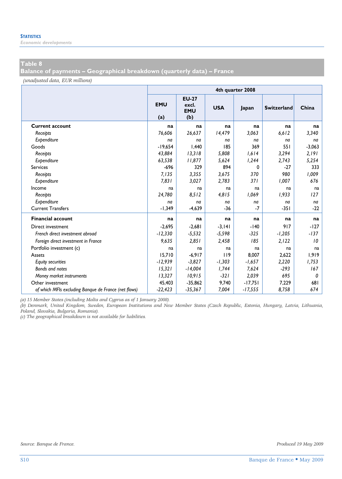*Economic developments* 

# **Table 8**

**Balance of payments – Geographical breakdown (quarterly data) – France** 

*(unadjusted data, EUR millions)*

|                                                      | 4th quarter 2008  |                                            |            |           |                    |          |  |  |  |  |
|------------------------------------------------------|-------------------|--------------------------------------------|------------|-----------|--------------------|----------|--|--|--|--|
|                                                      | <b>EMU</b><br>(a) | <b>EU-27</b><br>excl.<br><b>EMU</b><br>(b) | <b>USA</b> | Japan     | <b>Switzerland</b> | China    |  |  |  |  |
| <b>Current account</b>                               | na                | na                                         | na         | na        | na                 | na       |  |  |  |  |
| Receipts                                             | 76.606            | 26,637                                     | 14,479     | 3.063     | 6.612              | 3,340    |  |  |  |  |
| Expenditure                                          | na                | na                                         | na         | na        | na                 | na       |  |  |  |  |
| Goods                                                | $-19.654$         | 1.440                                      | 185        | 369       | 551                | $-3,063$ |  |  |  |  |
| Receipts                                             | 43,884            | 13,318                                     | 5,808      | 1,614     | 3,294              | 2,191    |  |  |  |  |
| Expenditure                                          | 63.538            | 11,877                                     | 5.624      | 1,244     | 2.743              | 5,254    |  |  |  |  |
| <b>Services</b>                                      | $-696$            | 329                                        | 894        | $\Omega$  | $-27$              | 333      |  |  |  |  |
| Receipts                                             | 7,135             | 3,355                                      | 3,675      | 370       | 980                | 1,009    |  |  |  |  |
| Expenditure                                          | 7.831             | 3,027                                      | 2,783      | 371       | 1,007              | 676      |  |  |  |  |
| Income                                               | na                | na                                         | na         | na        | na                 | na       |  |  |  |  |
| Receipts                                             | 24,780            | 8,512                                      | 4,815      | 1,069     | 1,933              | 127      |  |  |  |  |
| Expenditure                                          | na                | na                                         | na         | na        | na                 | na       |  |  |  |  |
| <b>Current Transfers</b>                             | $-1,349$          | $-4,639$                                   | $-36$      | $-7$      | $-351$             | $-22$    |  |  |  |  |
| <b>Financial account</b>                             | na                | na                                         | na         | na        | na                 | na       |  |  |  |  |
| Direct investment                                    | $-2,695$          | $-2,681$                                   | $-3, 141$  | $-140$    | 917                | $-127$   |  |  |  |  |
| French direct investment abroad                      | $-12,330$         | $-5,532$                                   | $-5,598$   | $-325$    | $-1,205$           | $-137$   |  |  |  |  |
| Foreign direct investment in France                  | 9,635             | 2,851                                      | 2,458      | 185       | 2,122              | 10       |  |  |  |  |
| Portfolio investment (c)                             | na                | na                                         | na         | na        | na                 | na       |  |  |  |  |
| Assets                                               | 15.710            | $-6,917$                                   | 119        | 8.007     | 2.622              | 1,919    |  |  |  |  |
| <b>Equity securities</b>                             | $-12,939$         | $-3,827$                                   | $-1,303$   | $-1,657$  | 2,220              | 1,753    |  |  |  |  |
| Bonds and notes                                      | 15,321            | $-14,004$                                  | 1,744      | 7,624     | $-293$             | 167      |  |  |  |  |
| Money market instruments                             | 13,327            | 10,915                                     | $-321$     | 2,039     | 695                | 0        |  |  |  |  |
| Other investment                                     | 45,403            | $-35,862$                                  | 9,740      | $-17,751$ | 7,229              | 681      |  |  |  |  |
| of which MFIs excluding Banque de France (net flows) | $-22,423$         | $-35,367$                                  | 7,004      | $-17,555$ | 8,758              | 674      |  |  |  |  |

*(a) 15 Member States (including Malta and Cyprus as of 1 January 2008).* 

*(b) Denmark, United Kingdom, Sweden, European Institutions and New Member States (Czech Republic, Estonia, Hungary, Latvia, Lithuania, Poland, Slovakia, Bulgaria, Romania).* 

*(c) The geographical breakdown is not available for liabilities.*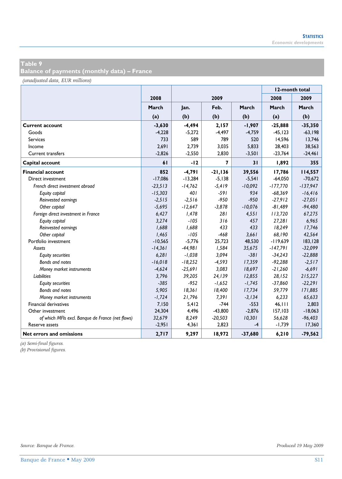**Balance of payments (monthly data) – France** 

*(unadjusted data, EUR millions)*

|                                                  |           |           |                |           | 12-month total |            |  |
|--------------------------------------------------|-----------|-----------|----------------|-----------|----------------|------------|--|
|                                                  | 2008      |           | 2009           |           | 2008           | 2009       |  |
|                                                  | March     | Jan.      | Feb.           | March     | March          | March      |  |
|                                                  | (a)       | (b)       | (b)            | (b)       | (a)            | (b)        |  |
| <b>Current account</b>                           | $-3.630$  | $-4,494$  | 2,157          | $-1,907$  | $-25,888$      | $-35,350$  |  |
| Goods                                            | $-4,228$  | $-5,272$  | $-4,497$       | $-4,759$  | $-45, 123$     | $-63,198$  |  |
| <b>Services</b>                                  | 733       | 589       | 789            | 520       | 14,596         | 13,746     |  |
| Income                                           | 2.691     | 2,739     | 3,035          | 5,833     | 28,403         | 38,563     |  |
| <b>Current transfers</b>                         | $-2.826$  | $-2,550$  | 2,830          | $-3,501$  | $-23,764$      | $-24,461$  |  |
| Capital account                                  | 61        | $-12$     | $\overline{7}$ | 31        | 1,892          | 355        |  |
| <b>Financial account</b>                         | 852       | $-4,791$  | $-21, 136$     | 39,556    | 17,786         | 114,557    |  |
| Direct investment                                | $-17.086$ | $-13.284$ | $-5,138$       | $-5,541$  | $-64.050$      | $-70,672$  |  |
| French direct investment abroad                  | $-23,513$ | $-14,762$ | $-5,419$       | $-10,092$ | $-177,770$     | $-137,947$ |  |
| Equity capital                                   | $-15,303$ | 401       | $-591$         | 934       | $-68,369$      | $-16,416$  |  |
| Reinvested earnings                              | $-2,515$  | $-2,516$  | $-950$         | $-950$    | $-27,912$      | $-27,051$  |  |
| Other capital                                    | $-5,695$  | $-12,647$ | $-3,878$       | $-10,076$ | $-81,489$      | $-94,480$  |  |
| Foreign direct investment in France              | 6,427     | 1,478     | 281            | 4,551     | 113,720        | 67,275     |  |
| Equity capital                                   | 3,274     | $-105$    | 316            | 457       | 27,281         | 6,965      |  |
| Reinvested earnings                              | 1,688     | 1,688     | 433            | 433       | 18,249         | 17,746     |  |
| Other capital                                    | 1,465     | $-105$    | $-468$         | 3,661     | 68,190         | 42,564     |  |
| Portfolio investment                             | $-10,565$ | $-5,776$  | 25,723         | 48,530    | $-119,639$     | 183,128    |  |
| Assets                                           | $-14,361$ | $-44,981$ | 1,584          | 35,675    | $-147,791$     | $-32,099$  |  |
| <b>Equity securities</b>                         | 6,281     | $-1,038$  | 3,094          | $-381$    | $-34,243$      | $-22,888$  |  |
| Bonds and notes                                  | $-16,018$ | $-18,252$ | $-4,593$       | 17,359    | $-92,288$      | $-2,517$   |  |
| Money market instruments                         | $-4,624$  | $-25,691$ | 3,083          | 18,697    | $-21,260$      | $-6,691$   |  |
| <b>Liabilities</b>                               | 3,796     | 39,205    | 24,139         | 12,855    | 28,152         | 215,227    |  |
| <b>Equity securities</b>                         | $-385$    | $-952$    | $-1,652$       | $-1,745$  | $-37,860$      | $-22,291$  |  |
| Bonds and notes                                  | 5,905     | 18.361    | 18,400         | 17,734    | 59,779         | 171,885    |  |
| Money market instruments                         | $-1,724$  | 21,796    | 7.391          | $-3,134$  | 6.233          | 65,633     |  |
| <b>Financial derivatives</b>                     | 7,150     | 5,412     | $-744$         | $-553$    | 46, 111        | 2,803      |  |
| Other investment                                 | 24,304    | 4,496     | $-43,800$      | $-2,876$  | 157,103        | $-18,063$  |  |
| of which MFIs excl. Banque de France (net flows) | 32,679    | 8,249     | $-20,503$      | 10,301    | 56,628         | $-96,403$  |  |
| Reserve assets                                   | $-2,951$  | 4,361     | 2,823          | $-4$      | $-1,739$       | 17,360     |  |
| Net errors and omissions                         | 2,717     | 9,297     | 18,972         | $-37,680$ | 6,210          | $-79,562$  |  |

*(a) Semi-final figures.*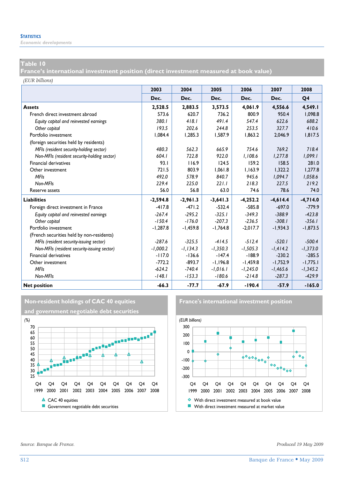*Economic developments* 

# **p Table 10**

**France's international investment position (direct investment measured at book value)** 

*(EUR billions)*

|                                             | 2003       | 2004        | 2005       | 2006       | 2007       | 2008       |
|---------------------------------------------|------------|-------------|------------|------------|------------|------------|
|                                             | Dec.       | Dec.        | Dec.       | Dec.       | Dec.       | Q4         |
| <b>Assets</b>                               | 2.528.5    | 2,883.5     | 3,573.5    | 4,061.9    | 4.556.6    | 4,549.I    |
| French direct investment abroad             | 573.6      | 620.7       | 736.2      | 800.9      | 950.4      | 1,098.8    |
| Equity capital and reinvested earnings      | 380.1      | 418.1       | 491.4      | 547.4      | 622.6      | 688.2      |
| Other capital                               | 193.5      | 202.6       | 244.8      | 253.5      | 327.7      | 410.6      |
| Portfolio investment                        | 1,084.4    | 1,285.3     | 1,587.9    | 1,863.2    | 2,046.9    | 1,817.5    |
| (foreign securities held by residents)      |            |             |            |            |            |            |
| MFIs (resident security-holding sector)     | 480.3      | 562.3       | 665.9      | 754.6      | 769.2      | 718.4      |
| Non-MFIs (resident security-holding sector) | 604.1      | 722.8       | 922.0      | 1,108.6    | 1,277.8    | 1,099.1    |
| <b>Financial derivatives</b>                | 93.1       | 116.9       | 124.5      | 159.2      | 158.5      | 281.0      |
| Other investment                            | 721.5      | 803.9       | 1.061.8    | 1.163.9    | 1.322.2    | 1.277.8    |
| <b>MFIs</b>                                 | 492.0      | 578.9       | 840.7      | 945.6      | 1,094.7    | 1,058.6    |
| Non-MFIs                                    | 229.4      | 225.0       | 221.1      | 218.3      | 227.5      | 219.2      |
| Reserve assets                              | 56.0       | 56.8        | 63.0       | 74.6       | 78.6       | 74.0       |
| <b>Liabilities</b>                          | $-2,594.8$ | $-2,961.3$  | $-3,641.3$ | $-4,252.2$ | $-4,614.4$ | $-4,714.0$ |
| Foreign direct investment in France         | $-417.8$   | $-471.2$    | $-532.4$   | $-585.8$   | $-697.0$   | $-779.9$   |
| Equity capital and reinvested earnings      | $-267.4$   | $-295.2$    | $-325.1$   | $-349.3$   | $-388.9$   | $-423.8$   |
| Other capital                               | $-150.4$   | $-176.0$    | $-207.3$   | $-236.5$   | $-308.1$   | $-356.1$   |
| Portfolio investment                        | $-1,287.8$ | $-1,459.8$  | $-1,764.8$ | $-2,017.7$ | $-1,934.3$ | $-1,873.5$ |
| (French securities held by non-residents)   |            |             |            |            |            |            |
| MFIs (resident security-issuing sector)     | $-287.6$   | $-325.5$    | $-414.5$   | $-512.4$   | $-520.1$   | $-500.4$   |
| Non-MFIs (resident security-issuing sector) | $-1.000.2$ | $-1, 134.3$ | $-1,350.3$ | $-1,505.3$ | $-1,414.2$ | $-1,373.0$ |
| <b>Financial derivatives</b>                | $-117.0$   | $-136.6$    | $-147.4$   | $-188.9$   | $-230.2$   | $-285.5$   |
| Other investment                            | $-772.2$   | $-893.7$    | $-1,196.8$ | $-1,459.8$ | $-1,752.9$ | $-1,775.1$ |
| <b>MFIs</b>                                 | $-624.2$   | $-740.4$    | $-1,016.1$ | $-1,245.0$ | $-1,465.6$ | $-1,345.2$ |
| Non-MFIs                                    | $-148.1$   | $-153.3$    | $-180.6$   | $-214.8$   | $-287.3$   | $-429.9$   |
| <b>Net position</b>                         | $-66.3$    | $-77.7$     | $-67.9$    | $-190.4$   | $-57.9$    | $-165.0$   |





*Source: Banque de France. Produced 19 May 2009*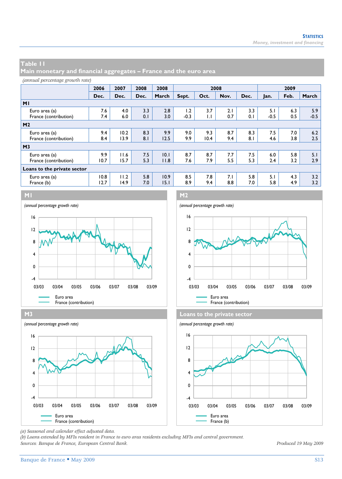**Main monetary and financial aggregates – France and the euro area** 

#### *(annual percentage growth rate)*

|                             | 2006 | 2007 | 2008 | 2008  |        | 2008         |      |      |        | 2009 |        |
|-----------------------------|------|------|------|-------|--------|--------------|------|------|--------|------|--------|
|                             | Dec. | Dec. | Dec. | March | Sept.  | Oct.         | Nov. | Dec. | Jan.   | Feb. | March  |
| M <sub>1</sub>              |      |      |      |       |        |              |      |      |        |      |        |
| Euro area (a)               | 7.6  | 4.0  | 3.3  | 2.8   | 1.2    | 3.7          | 2.1  | 3.3  | 5.1    | 6.3  | 5.9    |
| France (contribution)       | 7.4  | 6.0  | 0.1  | 3.0   | $-0.3$ | $\mathsf{L}$ | 0.7  | 0.1  | $-0.5$ | 0.5  | $-0.5$ |
| M <sub>2</sub>              |      |      |      |       |        |              |      |      |        |      |        |
| Euro area (a)               | 9.4  | 10.2 | 8.3  | 9.9   | 9.0    | 9.3          | 8.7  | 8.3  | 7.5    | 7.0  | 6.2    |
| France (contribution)       | 8.4  | 13.9 | 8.1  | 12.5  | 9.9    | 10.4         | 9.4  | 8.1  | 4.6    | 3.8  | 2.5    |
| M <sub>3</sub>              |      |      |      |       |        |              |      |      |        |      |        |
| Euro area (a)               | 9.9  | 11.6 | 7.5  | 10.1  | 8.7    | 8.7          | 7.7  | 7.5  | 6.0    | 5.8  | 5.1    |
| France (contribution)       | 10.7 | 15.7 | 5.3  | 11.8  | 7.6    | 7.9          | 5.5  | 5.3  | 2.4    | 3.2  | 2.9    |
| Loans to the private sector |      |      |      |       |        |              |      |      |        |      |        |
| Euro area (a)               | 10.8 | 11.2 | 5.8  | 10.9  | 8.5    | 7.8          | 7.1  | 5.8  | 5.1    | 4.3  | 3.2    |
| France (b)                  | 12.7 | 14.9 | 7.0  | 15.1  | 8.9    | 9.4          | 8.8  | 7.0  | 5.8    | 4.9  | 3.2    |











*(a) Seasonal and calendar effect adjusted data.* 

*(b) Loans extended by MFIs resident in France to euro area residents excluding MFIs and central government. Sources: Banque de France, European Central Bank. Produced 19 May 2009*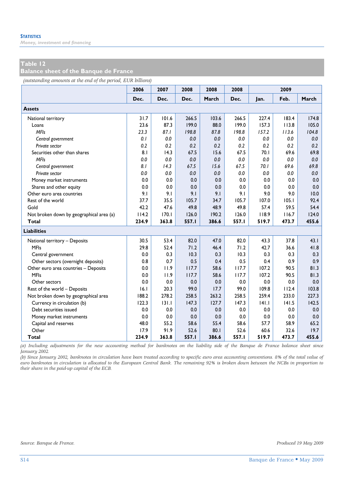*Money, investment and financing* 

## **Table 12**

**Balance sheet of the Banque de France** 

*(outstanding amounts at the end of the period, EUR billions)*

|                                          | 2006  | 2007  | 2008  | 2008  | 2008  |       | 2009  |       |
|------------------------------------------|-------|-------|-------|-------|-------|-------|-------|-------|
|                                          | Dec.  | Dec.  | Dec.  | March | Dec.  | Jan.  | Feb.  | March |
| <b>Assets</b>                            |       |       |       |       |       |       |       |       |
| National territory                       | 31.7  | 101.6 | 266.5 | 103.6 | 266.5 | 227.4 | 183.4 | 174.8 |
| Loans                                    | 23.6  | 87.3  | 199.0 | 88.0  | 199.0 | 157.3 | 113.8 | 105.0 |
| <b>MFIs</b>                              | 23.3  | 87.1  | 198.8 | 87.8  | 198.8 | 157.2 | 113.6 | 104.8 |
| Central government                       | 0.1   | 0.0   | 0.0   | 0.0   | 0.0   | 0.0   | 0.0   | 0.0   |
| Private sector                           | 0.2   | 0.2   | 0.2   | 0.2   | 0.2   | 0.2   | 0.2   | 0.2   |
| Securities other than shares             | 8.1   | 14.3  | 67.5  | 15.6  | 67.5  | 70.1  | 69.6  | 69.8  |
| <b>MFIs</b>                              | 0.0   | 0.0   | 0.0   | 0.0   | 0.0   | 0.0   | 0.0   | 0.0   |
| Central government                       | 8.1   | 14.3  | 67.5  | 15.6  | 67.5  | 70.1  | 69.6  | 69.8  |
| Private sector                           | 0.0   | 0.0   | 0.0   | 0.0   | 0.0   | 0.0   | 0.0   | 0.0   |
| Money market instruments                 | 0.0   | 0.0   | 0.0   | 0.0   | 0.0   | 0.0   | 0.0   | 0.0   |
| Shares and other equity                  | 0.0   | 0.0   | 0.0   | 0.0   | 0.0   | 0.0   | 0.0   | 0.0   |
| Other euro area countries                | 9.1   | 9.1   | 9.1   | 9.1   | 9.1   | 9.0   | 9.0   | 10.0  |
| Rest of the world                        | 37.7  | 35.5  | 105.7 | 34.7  | 105.7 | 107.0 | 105.1 | 92.4  |
| Gold                                     | 42.2  | 47.6  | 49.8  | 48.9  | 49.8  | 57.4  | 59.5  | 54.4  |
| Not broken down by geographical area (a) | 114.2 | 170.1 | 126.0 | 190.2 | 126.0 | 118.9 | 116.7 | 124.0 |
| <b>Total</b>                             | 234.9 | 363.8 | 557.I | 386.6 | 557.I | 519.7 | 473.7 | 455.6 |
| <b>Liabilities</b>                       |       |       |       |       |       |       |       |       |
| National territory - Deposits            | 30.5  | 53.4  | 82.0  | 47.0  | 82.0  | 43.3  | 37.8  | 43.1  |
| <b>MFIs</b>                              | 29.8  | 52.4  | 71.2  | 46.4  | 71.2  | 42.7  | 36.6  | 41.8  |
| Central government                       | 0.0   | 0.3   | 10.3  | 0.3   | 10.3  | 0.3   | 0.3   | 0.3   |
| Other sectors (overnight deposits)       | 0.8   | 0.7   | 0.5   | 0.4   | 0.5   | 0.4   | 0.9   | 0.9   |
| Other euro area countries - Deposits     | 0.0   | 11.9  | 117.7 | 58.6  | 117.7 | 107.2 | 90.5  | 81.3  |
| <b>MFIs</b>                              | 0.0   | 11.9  | 117.7 | 58.6  | 117.7 | 107.2 | 90.5  | 81.3  |
| Other sectors                            | 0.0   | 0.0   | 0.0   | 0.0   | 0.0   | 0.0   | 0.0   | 0.0   |
| Rest of the world - Deposits             | 16.1  | 20.3  | 99.0  | 17.7  | 99.0  | 109.8 | 112.4 | 103.8 |
| Not broken down by geographical area     | 188.2 | 278.2 | 258.5 | 263.2 | 258.5 | 259.4 | 233.0 | 227.3 |
| Currency in circulation (b)              | 122.3 | 131.1 | 147.3 | 127.7 | 147.3 | 141.1 | 141.5 | 142.5 |
| Debt securities issued                   | 0.0   | 0.0   | 0.0   | 0.0   | 0.0   | 0.0   | 0.0   | 0.0   |
| Money market instruments                 | 0.0   | 0.0   | 0.0   | 0.0   | 0.0   | 0.0   | 0.0   | 0.0   |
| Capital and reserves                     | 48.0  | 55.2  | 58.6  | 55.4  | 58.6  | 57.7  | 58.9  | 65.2  |
| Other                                    | 17.9  | 91.9  | 52.6  | 80.1  | 52.6  | 60.6  | 32.6  | 19.7  |
| Total                                    | 234.9 | 363.8 | 557.1 | 386.6 | 557.I | 519.7 | 473.7 | 455.6 |

*(a) Including adjustments for the new accounting method for banknotes on the liability side of the Banque de France balance sheet since January 2002.* 

*(b) Since January 2002, banknotes in circulation have been treated according to specific euro area accounting conventions. 8% of the total value of euro banknotes in circulation is allocated to the European Central Bank. The remaining 92% is broken down between the NCBs in proportion to their share in the paid-up capital of the ECB.*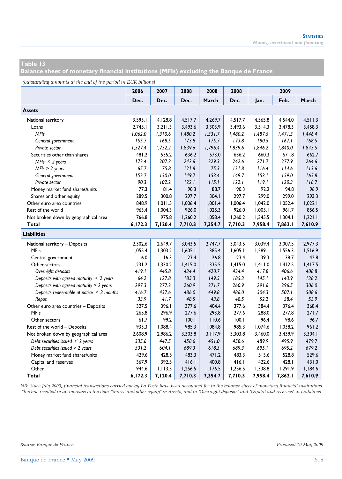**Balance sheet of monetary financial institutions (MFIs) excluding the Banque de France** 

*(outstanding amounts at the end of the period in EUR billions)*

| ื่                                            | 2006    | 2007    | 2008    | 2008    | 2008    |         | 2009    |         |
|-----------------------------------------------|---------|---------|---------|---------|---------|---------|---------|---------|
|                                               | Dec.    | Dec.    | Dec.    | March   | Dec.    | Jan.    | Feb.    | March   |
| <b>Assets</b>                                 |         |         |         |         |         |         |         |         |
| National territory                            | 3,593.1 | 4,128.8 | 4,517.7 | 4.269.7 | 4,517.7 | 4,565.8 | 4,544.0 | 4,511.3 |
| Loans                                         | 2.745.1 | 3,211.3 | 3,493.6 | 3,303.9 | 3,493.6 | 3,514.3 | 3,478.3 | 3,458.3 |
| <b>MFIs</b>                                   | 1,062.0 | 1,310.6 | 1,480.2 | 1,331.7 | 1,480.2 | 1,487.5 | 1,471.3 | 1,446.4 |
| General government                            | 155.7   | 168.5   | 173.8   | 175.7   | 173.8   | 180.5   | 167.1   | 168.5   |
| Private sector                                | 1,527.4 | 1,732.2 | 1,839.6 | 1,796.4 | 1,839.6 | 1,846.2 | 1,840.0 | 1,843.5 |
| Securities other than shares                  | 481.2   | 535.2   | 636.2   | 573.0   | 636.2   | 660.3   | 671.8   | 662.7   |
| MFIs $\leq$ 2 years                           | 172.4   | 207.3   | 242.6   | 229.3   | 242.6   | 271.7   | 277.9   | 264.6   |
| $MFIs > 2$ years                              | 65.7    | 75.8    | 121.8   | 75.3    | 121.8   | 116.4   | 114.6   | 113.6   |
| General government                            | 152.7   | 150.0   | 149.7   | 153.4   | 149.7   | 153.1   | 159.0   | 165.8   |
| Private sector                                | 90.3    | 102.2   | 122.1   | 115.1   | 122.1   | 119.1   | 120.3   | 118.7   |
| Money market fund shares/units                | 77.3    | 81.4    | 90.3    | 88.7    | 90.3    | 92.2    | 94.8    | 96.9    |
| Shares and other equity                       | 289.5   | 300.8   | 297.7   | 304.1   | 297.7   | 299.0   | 299.0   | 293.3   |
| Other euro area countries                     | 848.9   | 1,011.5 | 1,006.4 | 1,001.4 | 1,006.4 | 1,042.0 | 1,052.4 | 1,022.1 |
| Rest of the world                             | 963.4   | 1,004.3 | 926.0   | 1,025.3 | 926.0   | 1,005.1 | 961.7   | 856.5   |
| Not broken down by geographical area          | 766.8   | 975.8   | 1,260.2 | 1,058.4 | 1,260.2 | 1,345.5 | 1,304.1 | 1,221.1 |
| Total                                         | 6,172.3 | 7,120.4 | 7,710.3 | 7,354.7 | 7,710.3 | 7,958.4 | 7,862.1 | 7,610.9 |
| <b>Liabilities</b>                            |         |         |         |         |         |         |         |         |
| National territory - Deposits                 | 2,302.6 | 2,649.7 | 3,043.5 | 2,747.7 | 3,043.5 | 3,039.4 | 3,007.5 | 2,977.3 |
| <b>MFIs</b>                                   | 1,055.4 | 1,303.2 | 1,605.1 | 1,385.4 | 1,605.1 | 1,589.1 | 1,556.3 | 1,516.9 |
| Central government                            | 16.0    | 16.3    | 23.4    | 26.8    | 23.4    | 39.3    | 38.7    | 42.8    |
| Other sectors                                 | 1,231.2 | 1,330.2 | 1,415.0 | 1,335.5 | 1,415.0 | 1,411.0 | 1,412.5 | 1,417.5 |
| Overnight deposits                            | 419.1   | 445.8   | 434.4   | 420.7   | 434.4   | 417.8   | 406.6   | 408.8   |
| Deposits with agreed maturity $\leq 2$ years  | 64.2    | 127.8   | 185.3   | 149.5   | 185.3   | 145.1   | 143.9   | 138.2   |
| Deposits with agreed maturity > 2 years       | 297.3   | 277.2   | 260.9   | 271.7   | 260.9   | 291.6   | 296.5   | 306.0   |
| Deposits redeemable at notice $\leq$ 3 months | 416.7   | 437.6   | 486.0   | 449.8   | 486.0   | 504.3   | 507.1   | 508.6   |
| Repos                                         | 33.9    | 41.7    | 48.5    | 43.8    | 48.5    | 52.2    | 58.4    | 55.9    |
| Other euro area countries - Deposits          | 327.5   | 396.I   | 377.6   | 404.4   | 377.6   | 384.4   | 376.4   | 368.4   |
| <b>MFIs</b>                                   | 265.8   | 296.9   | 277.6   | 293.8   | 277.6   | 288.0   | 277.8   | 271.7   |
| Other sectors                                 | 61.7    | 99.2    | 100.1   | 110.6   | 100.1   | 96.4    | 98.6    | 96.7    |
| Rest of the world - Deposits                  | 933.3   | 1,088.4 | 985.3   | 1,084.8 | 985.3   | 1,074.6 | 1,038.2 | 961.2   |
| Not broken down by geographical area          | 2,608.9 | 2,986.2 | 3,303.8 | 3,117.9 | 3.303.8 | 3,460.0 | 3,439.9 | 3,304.1 |
| Debt securities issued $\leq$ 2 years         | 335.6   | 447.5   | 458.6   | 451.0   | 458.6   | 489.9   | 495.9   | 479.7   |
| Debt securities issued > 2 years              | 531.2   | 604.1   | 689.3   | 618.3   | 689.3   | 695.1   | 695.2   | 679.2   |
| Money market fund shares/units                | 429.6   | 428.5   | 483.3   | 471.2   | 483.3   | 513.6   | 528.8   | 529.6   |
| Capital and reserves                          | 367.9   | 392.5   | 416.1   | 400.8   | 416.1   | 422.6   | 428.1   | 431.0   |
| Other                                         | 944.6   | 1,113.5 | 1,256.5 | 1,176.5 | 1,256.5 | 1,338.8 | 1,291.9 | 1,184.6 |
| <b>Total</b>                                  | 6,172.3 | 7,120.4 | 7,710.3 | 7,354.7 | 7,710.3 | 7,958.4 | 7,862.1 | 7,610.9 |

*NB: Since July 2003, financial transactions carried out by La Poste have been accounted for in the balance sheet of monetary financial institutions. This has resulted in an increase in the item "Shares and other equity" in Assets, and in "Overnight deposits" and "Capital and reserves" in Liabilities.*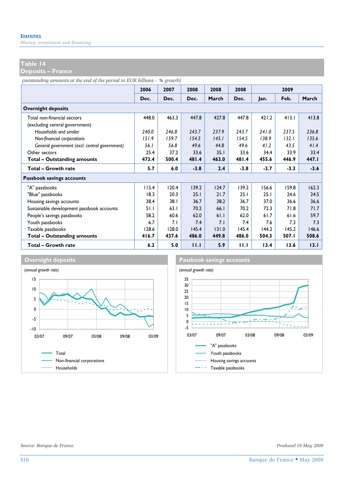*Money, investment and financing* 

#### **Table 14**

**Deposits – France** 

*(outstanding amounts at the end of the period in EUR billions – % growth)*

|                                               | 2006  | 2007  | 2008   | 2008  | 2008   |        | 2009   |        |
|-----------------------------------------------|-------|-------|--------|-------|--------|--------|--------|--------|
|                                               | Dec.  | Dec.  | Dec.   | March | Dec.   | lan.   | Feb.   | March  |
| <b>Overnight deposits</b>                     |       |       |        |       |        |        |        |        |
| Total non-financial sectors                   | 448.0 | 463.3 | 447.8  | 427.8 | 447.8  | 421.2  | 413.1  | 413.8  |
| (excluding central government)                |       |       |        |       |        |        |        |        |
| Households and similar                        | 240.0 | 246.8 | 243.7  | 237.9 | 243.7  | 241.0  | 237.5  | 236.8  |
| Non-financial corporations                    | 151.9 | 159.7 | 154.5  | 145.1 | 154.5  | 138.9  | 132.1  | 135.6  |
| General government (excl. central government) | 56. I | 56.8  | 49.6   | 44.8  | 49.6   | 41.2   | 43.5   | 41.4   |
| Other sectors                                 | 25.4  | 37.2  | 33.6   | 35.1  | 33.6   | 34.4   | 33.9   | 33.4   |
| Total - Outstanding amounts                   | 473.4 | 500.4 | 481.4  | 463.0 | 481.4  | 455.6  | 446.9  | 447.I  |
| Total - Growth rate                           | 5.7   | 6.0   | $-3.8$ | 2.4   | $-3.8$ | $-3.7$ | $-3.3$ | $-3.6$ |
| Passbook savings accounts                     |       |       |        |       |        |        |        |        |
| "A" passbooks                                 | 115.4 | 120.4 | 139.2  | 124.7 | 139.2  | 156.6  | 159.8  | 162.3  |
| "Blue" passbooks                              | 18.3  | 20.3  | 25.1   | 21.7  | 25.1   | 25.1   | 24.6   | 24.5   |
| Housing savings accounts                      | 38.4  | 38.1  | 36.7   | 38.2  | 36.7   | 37.0   | 36.6   | 36.6   |
| Sustainable development passbook accounts     | 51.1  | 63.1  | 70.2   | 66.1  | 70.2   | 72.3   | 71.8   | 71.7   |
| People's savings passbooks                    | 58.2  | 60.6  | 62.0   | 61.1  | 62.0   | 61.7   | 61.6   | 59.7   |
| Youth passbooks                               | 6.7   | 7.1   | 7.4    | 7.1   | 7.4    | 7.6    | 7.3    | 7.3    |
| Taxable passbooks                             | 128.6 | 128.0 | 145.4  | 131.0 | 145.4  | 144.2  | 145.2  | 146.6  |
| <b>Total - Outstanding amounts</b>            | 416.7 | 437.6 | 486.0  | 449.8 | 486.0  | 504.3  | 507.I  | 508.6  |
| Total - Growth rate                           | 6.2   | 5.0   | 11.1   | 5.9   | 11.1   | 13.4   | 13.6   | 13.1   |





*Source: Banque de France. Produced 19 May 2009*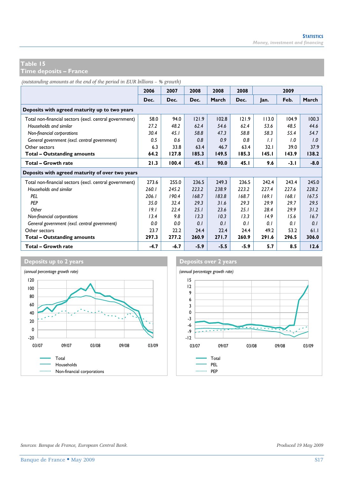**Time deposits – France** 

*(outstanding amounts at the end of the period in EUR billions – % growth)*

|                                                        | 2006   | 2007   | 2008   | 2008   | 2008  |       | 2009   |        |
|--------------------------------------------------------|--------|--------|--------|--------|-------|-------|--------|--------|
|                                                        | Dec.   | Dec.   | Dec.   | March  | Dec.  | Jan.  | Feb.   | March  |
| Deposits with agreed maturity up to two years          |        |        |        |        |       |       |        |        |
| Total non-financial sectors (excl. central government) | 58.0   | 94.0   | 121.9  | 102.8  | 121.9 | 113.0 | 104.9  | 100.3  |
| Households and similar                                 | 27.2   | 48.2   | 62.4   | 54.6   | 62.4  | 53.6  | 48.5   | 44.6   |
| Non-financial corporations                             | 30.4   | 45.1   | 58.8   | 47.3   | 58.8  | 58.3  | 55.4   | 54.7   |
| General government (excl. central government)          | 0.5    | 0.6    | 0.8    | 0.9    | 0.8   | 1.1   | 1.0    | 1.0    |
| Other sectors                                          | 6.3    | 33.8   | 63.4   | 46.7   | 63.4  | 32.1  | 39.0   | 37.9   |
| Total - Outstanding amounts                            | 64.2   | 127.8  | 185.3  | 149.5  | 185.3 | 145.I | 143.9  | 138.2  |
| Total - Growth rate                                    | 21.3   | 100.4  | 45.1   | 90.0   | 45.1  | 9.6   | $-3.1$ | $-8.0$ |
| Deposits with agreed maturity of over two years        |        |        |        |        |       |       |        |        |
| Total non-financial sectors (excl. central government) | 273.6  | 255.0  | 236.5  | 249.3  | 236.5 | 242.4 | 243.4  | 245.0  |
| Households and similar                                 | 260.1  | 245.2  | 223.2  | 238.9  | 223.2 | 227.4 | 227.6  | 228.2  |
| PEL                                                    | 206.1  | 190.4  | 168.7  | 183.8  | 168.7 | 169.1 | 168.1  | 167.5  |
| PEP                                                    | 35.0   | 32.4   | 29.3   | 31.6   | 29.3  | 29.9  | 29.7   | 29.5   |
| Other                                                  | 19.1   | 22.4   | 25.1   | 23.6   | 25.1  | 28.4  | 29.9   | 31.2   |
| Non-financial corporations                             | 13.4   | 9.8    | 13.3   | 10.3   | 13.3  | 14.9  | 15.6   | 16.7   |
| General government (excl. central government)          | 0.0    | 0.0    | 0.1    | 0.1    | 0.1   | 0.1   | 0.1    | 0.1    |
| Other sectors                                          | 23.7   | 22.2   | 24.4   | 22.4   | 24.4  | 49.2  | 53.2   | 61.1   |
| Total - Outstanding amounts                            | 297.3  | 277.2  | 260.9  | 271.7  | 260.9 | 291.6 | 296.5  | 306.0  |
| Total - Growth rate                                    | $-4.7$ | $-6.7$ | $-5.9$ | $-5.5$ | -5.9  | 5.7   | 8.5    | 12.6   |





*Sources: Banque de France, European Central Bank. Produced 19 May 2009*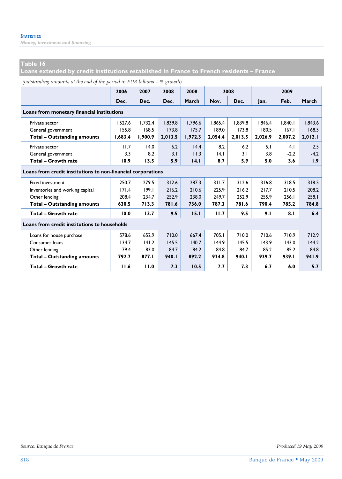*Money, investment and financing* 

### **Table 16**

**Loans extended by credit institutions established in France to French residents – France** 

|  | (outstanding amounts at the end of the period in EUR billions - % growth) |  |
|--|---------------------------------------------------------------------------|--|
|--|---------------------------------------------------------------------------|--|

|                                                              | 2006    | 2007    | 2008    | 2008    |         | 2008    |         | 2009    |         |
|--------------------------------------------------------------|---------|---------|---------|---------|---------|---------|---------|---------|---------|
|                                                              | Dec.    | Dec.    | Dec.    | March   | Nov.    | Dec.    | Jan.    | Feb.    | March   |
| Loans from monetary financial institutions                   |         |         |         |         |         |         |         |         |         |
| Private sector                                               | 1.527.6 | 1.732.4 | 1.839.8 | 1.796.6 | 1.865.4 | 1.839.8 | 1.846.4 | 1.840.1 | 1.843.6 |
| General government                                           | 155.8   | 168.5   | 173.8   | 175.7   | 189.0   | 173.8   | 180.5   | 167.1   | 168.5   |
| <b>Total - Outstanding amounts</b>                           | 1.683.4 | 1,900.9 | 2,013.5 | 1,972.3 | 2,054.4 | 2,013.5 | 2,026.9 | 2,007.2 | 2,012.1 |
| Private sector                                               | 11.7    | 14.0    | 6.2     | 14.4    | 8.2     | 6.2     | 5.1     | 4.1     | 2.5     |
| General government                                           | 3.3     | 8.2     | 3.1     | 11.3    | 4.1     | 3.1     | 3.8     | $-2.2$  | $-4.2$  |
| Total - Growth rate                                          | 10.9    | 13.5    | 5.9     | 14.1    | 8.7     | 5.9     | 5.0     | 3.6     | 1.9     |
| Loans from credit institutions to non-financial corporations |         |         |         |         |         |         |         |         |         |
| <b>Fixed investment</b>                                      | 250.7   | 279.5   | 312.6   | 287.3   | 311.7   | 312.6   | 316.8   | 318.5   | 318.5   |
| Inventories and working capital                              | 171.4   | 199.1   | 216.2   | 210.6   | 225.9   | 216.2   | 217.7   | 210.5   | 208.2   |
| Other lending                                                | 208.4   | 234.7   | 252.9   | 238.0   | 249.7   | 252.9   | 255.9   | 256.1   | 258.1   |
| <b>Total - Outstanding amounts</b>                           | 630.5   | 713.3   | 781.6   | 736.0   | 787.3   | 781.6   | 790.4   | 785.2   | 784.8   |
| Total - Growth rate                                          | 10.0    | 13.7    | 9.5     | 15.1    | 11.7    | 9.5     | 9.1     | 8.1     | 6.4     |
| Loans from credit institutions to households                 |         |         |         |         |         |         |         |         |         |
| Loans for house purchase                                     | 578.6   | 652.9   | 710.0   | 667.4   | 705.1   | 710.0   | 710.6   | 710.9   | 712.9   |
| Consumer Ioans                                               | 134.7   | 141.2   | 145.5   | 140.7   | 144.9   | 145.5   | 143.9   | 143.0   | 144.2   |
| Other lending                                                | 79.4    | 83.0    | 84.7    | 84.2    | 84.8    | 84.7    | 85.2    | 85.2    | 84.8    |
| <b>Total - Outstanding amounts</b>                           | 792.7   | 877.I   | 940.I   | 892.2   | 934.8   | 940.I   | 939.7   | 939.I   | 941.9   |
| Total - Growth rate                                          | 11.6    | 11.0    | 7.3     | 10.5    | 7.7     | 7.3     | 6.7     | 6.0     | 5.7     |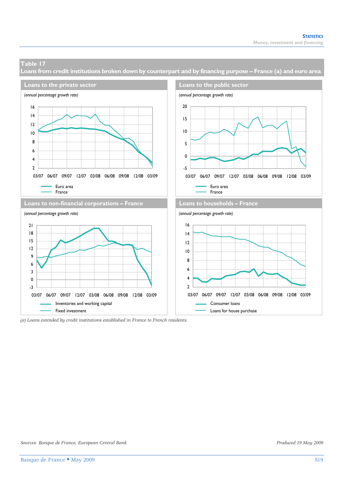**Loans from credit institutions broken down by counterpart and by financing purpose – France (a) and euro area** 



*(a) Loans extended by credit institutions established in France to French residents.*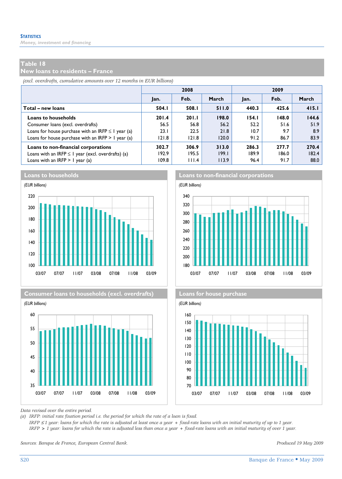**New loans to residents – France** 

*(excl. overdrafts, cumulative amounts over 12 months in EUR billions)*

|                                                         |       | 2008  |       | 2009  |       |       |  |
|---------------------------------------------------------|-------|-------|-------|-------|-------|-------|--|
|                                                         | Jan.  | Feb.  | March | Jan.  | Feb.  | March |  |
| Total – new loans                                       | 504.I | 508.I | 511.0 | 440.3 | 425.6 | 415.1 |  |
| <b>Loans to households</b>                              | 201.4 | 201.1 | 198.0 | 154.1 | 148.0 | 144.6 |  |
| Consumer loans (excl. overdrafts)                       | 56.5  | 56.8  | 56.2  | 52.2  | 51.6  | 51.9  |  |
| Loans for house purchase with an IRFP $\leq$ 1 year (a) | 23.1  | 22.5  | 21.8  | 10.7  | 9.7   | 8.9   |  |
| Loans for house purchase with an IRFP $> 1$ year (a)    | 121.8 | 121.8 | 120.0 | 91.2  | 86.7  | 83.9  |  |
| Loans to non-financial corporations                     | 302.7 | 306.9 | 313.0 | 286.3 | 277.7 | 270.4 |  |
| Loans with an IRFP $\leq$ 1 year (excl. overdrafts) (a) | 192.9 | 195.5 | 199.1 | 189.9 | 186.0 | 182.4 |  |
| Loans with an IRFP $> 1$ year (a)                       | 109.8 | 111.4 | 113.9 | 96.4  | 91.7  | 88.0  |  |



**Consumer loans to households (excl. overdrafts) Loans for house purchase** 







*Data revised over the entire period.* 

*(a) IRFP: initial rate fixation period i.e. the period for which the rate of a loan is fixed.* 

 *IRFP* ≤ *1 year: loans for which the rate is adjusted at least once a year + fixed-rate loans with an initial maturity of up to 1 year. IRFP > 1 year: loans for which the rate is adjusted less than once a year + fixed-rate loans with an initial maturity of over 1 year.* 

*Sources: Banque de France, European Central Bank. Produced 19 May 2009*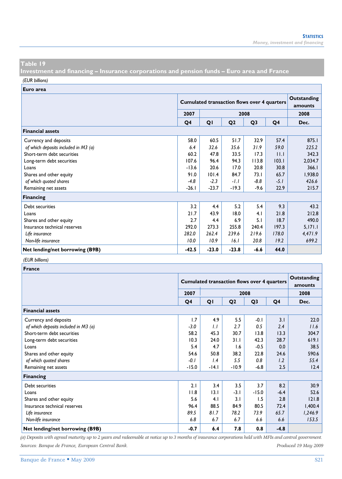**Investment and financing – Insurance corporations and pension funds – Euro area and France** 

*(EUR billions)*

**Euro area**

|                                      |         | <b>Cumulated transaction flows over 4 quarters</b> | Outstanding<br>amounts |                |        |         |
|--------------------------------------|---------|----------------------------------------------------|------------------------|----------------|--------|---------|
|                                      | 2007    |                                                    | 2008                   |                |        |         |
|                                      | Q4      | QI                                                 | Q <sub>2</sub>         | Q <sub>3</sub> | Q4     | Dec.    |
| <b>Financial assets</b>              |         |                                                    |                        |                |        |         |
| Currency and deposits                | 58.0    | 60.5                                               | 51.7                   | 32.9           | 57.4   | 875.1   |
| of which deposits included in M3 (a) | 6.4     | 32.6                                               | 35.6                   | 31.9           | 59.0   | 225.2   |
| Short-term debt securities           | 60.2    | 47.8                                               | 33.5                   | 17.3           | 11.1   | 342.3   |
| Long-term debt securities            | 107.6   | 96.4                                               | 94.3                   | 113.8          | 103.1  | 2,034.7 |
| Loans                                | $-13.6$ | 20.6                                               | 17.0                   | 20.8           | 30.8   | 366.1   |
| Shares and other equity              | 91.0    | 101.4                                              | 84.7                   | 73.1           | 65.7   | 1,938.0 |
| of which quoted shares               | $-4.8$  | $-2.3$                                             | $-1.1$                 | $-8.8$         | $-5.1$ | 426.6   |
| Remaining net assets                 | $-26.1$ | $-23.7$                                            | $-19.3$                | $-9.6$         | 22.9   | 215.7   |
| <b>Financing</b>                     |         |                                                    |                        |                |        |         |
| Debt securities                      | 3.2     | 4.4                                                | 5.2                    | 5.4            | 9.3    | 43.2    |
| Loans                                | 21.7    | 43.9                                               | 18.0                   | 4.1            | 21.8   | 212.8   |
| Shares and other equity              | 2.7     | 4.4                                                | 6.9                    | 5.1            | 18.7   | 490.0   |
| Insurance technical reserves         | 292.0   | 273.3                                              | 255.8                  | 240.4          | 197.3  | 5,171.1 |
| Life insurance                       | 282.0   | 262.4                                              | 239.6                  | 219.6          | 178.0  | 4,471.9 |
| Non-life insurance                   | 10.0    | 10.9                                               | 16.1                   | 20.8           | 19.2   | 699.2   |
| Net lending/net borrowing (B9B)      | $-42.5$ | $-23.0$                                            | $-23.8$                | $-6.6$         | 44.0   |         |

#### *(EUR billions)*

| <b>France</b>                        |         |                                                    |                |                |        |         |  |  |  |
|--------------------------------------|---------|----------------------------------------------------|----------------|----------------|--------|---------|--|--|--|
|                                      |         | <b>Cumulated transaction flows over 4 quarters</b> |                |                |        |         |  |  |  |
|                                      | 2007    |                                                    |                | 2008           |        | 2008    |  |  |  |
|                                      | Q4      | QI                                                 | Q <sub>2</sub> | Q <sub>3</sub> | Q4     | Dec.    |  |  |  |
| <b>Financial assets</b>              |         |                                                    |                |                |        |         |  |  |  |
| Currency and deposits                | 1.7     | 4.9                                                | 5.5            | $-0.1$         | 3.1    | 22.0    |  |  |  |
| of which deposits included in M3 (a) | $-3.0$  | 1.1                                                | 2.7            | 0.5            | 2.4    | 11.6    |  |  |  |
| Short-term debt securities           | 58.2    | 45.3                                               | 30.7           | 13.8           | 13.3   | 304.7   |  |  |  |
| Long-term debt securities            | 10.3    | 24.0                                               | 31.1           | 42.3           | 28.7   | 619.1   |  |  |  |
| Loans                                | 5.4     | 4.7                                                | 1.6            | $-0.5$         | 0.0    | 38.5    |  |  |  |
| Shares and other equity              | 54.6    | 50.8                                               | 38.2           | 22.8           | 24.6   | 590.6   |  |  |  |
| of which quoted shares               | -0.1    | 1.4                                                | 5.5            | 0.8            | 1.2    | 55.4    |  |  |  |
| Remaining net assets                 | $-15.0$ | $-14.1$                                            | $-10.9$        | $-6.8$         | 2.5    | 12.4    |  |  |  |
| <b>Financing</b>                     |         |                                                    |                |                |        |         |  |  |  |
| Debt securities                      | 2.1     | 3.4                                                | 3.5            | 3.7            | 8.2    | 30.9    |  |  |  |
| Loans                                | 11.8    | 13.1                                               | $-3.1$         | $-15.0$        | $-6.4$ | 52.6    |  |  |  |
| Shares and other equity              | 5.6     | 4.1                                                | 3.1            | 1.5            | 2.8    | 121.8   |  |  |  |
| Insurance technical reserves         | 96.4    | 88.5                                               | 84.9           | 80.5           | 72.4   | 1,400.4 |  |  |  |
| Life insurance                       | 89.5    | 81.7                                               | 78.2           | 73.9           | 65.7   | 1,246.9 |  |  |  |
| Non-life insurance                   | 6.8     | 6.7                                                | 6.7            | 6.6            | 6.6    | 153.5   |  |  |  |
| Net lending/net borrowing (B9B)      | $-0.7$  | 6.4                                                | 7.8            | 0.8            | $-4.8$ |         |  |  |  |

*(a) Deposits with agreed maturity up to 2 years and redeemable at notice up to 3 months of insurance corporations held with MFIs and central government. Sources: Banque de France, European Central Bank. Produced 19 May 2009*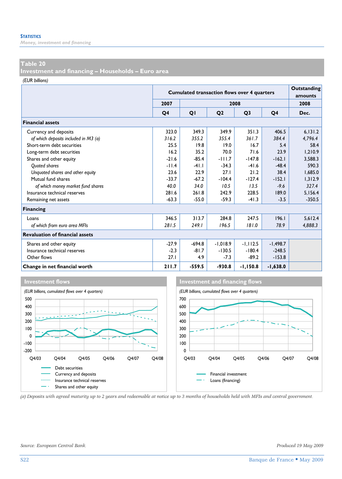*Money, investment and financing* 

#### **Table 20**

**Investment and financing – Households – Euro area** 

*(EUR billions)*

|                                        |                | <b>Cumulated transaction flows over 4 quarters</b> | Outstanding<br>amounts |                |            |          |  |  |
|----------------------------------------|----------------|----------------------------------------------------|------------------------|----------------|------------|----------|--|--|
|                                        | 2007           |                                                    |                        | 2008           |            | 2008     |  |  |
|                                        | Q <sub>4</sub> | QI                                                 | Q <sub>2</sub>         | Q <sub>3</sub> | Q4         | Dec.     |  |  |
| <b>Financial assets</b>                |                |                                                    |                        |                |            |          |  |  |
| Currency and deposits                  | 323.0          | 349.3                                              | 349.9                  | 351.3          | 406.5      | 6.131.2  |  |  |
| of which deposits included in M3 (a)   | 316.2          | 355.2                                              | 355.4                  | 361.7          | 384.4      | 4,796.4  |  |  |
| Short-term debt securities             | 25.5           | 19.8                                               | 19.0                   | 16.7           | 5.4        | 58.4     |  |  |
| Long-term debt securities              | 16.2           | 35.2                                               | 70.0                   | 71.6           | 23.9       | 1.210.9  |  |  |
| Shares and other equity                | $-21.6$        | $-85.4$                                            | $-111.7$               | $-147.8$       | $-162.1$   | 3,588.3  |  |  |
| <b>Ouoted shares</b>                   | $-11.4$        | $-41.1$                                            | $-34.3$                | $-41.6$        | $-48.4$    | 590.3    |  |  |
| Unquoted shares and other equity       | 23.6           | 22.9                                               | 27.1                   | 21.2           | 38.4       | 1.685.0  |  |  |
| Mutual fund shares                     | $-33.7$        | $-67.2$                                            | $-104.4$               | $-127.4$       | $-152.1$   | 1,312.9  |  |  |
| of which money market fund shares      | 40.0           | 34.0                                               | 10.5                   | 13.5           | $-9.6$     | 327.4    |  |  |
| Insurance technical reserves           | 281.6          | 261.8                                              | 242.9                  | 228.5          | 189.0      | 5,156.4  |  |  |
| Remaining net assets                   | $-63.3$        | $-55.0$                                            | $-59.3$                | $-41.3$        | $-3.5$     | $-350.5$ |  |  |
| <b>Financing</b>                       |                |                                                    |                        |                |            |          |  |  |
| Loans                                  | 346.5          | 313.7                                              | 284.8                  | 247.5          | 196.1      | 5.612.4  |  |  |
| of which from euro area MFIs           | 281.5          | 249.1                                              | 196.5                  | 181.0          | 78.9       | 4,888.3  |  |  |
| <b>Revaluation of financial assets</b> |                |                                                    |                        |                |            |          |  |  |
| Shares and other equity                | $-27.9$        | $-694.8$                                           | $-1.018.9$             | $-1, 112.5$    | $-1,498.7$ |          |  |  |
| Insurance technical reserves           | $-2.3$         | $-81.7$                                            | $-130.5$               | $-180.4$       | $-248.5$   |          |  |  |
| Other flows                            | 27.1           | 4.9                                                | $-7.3$                 | $-89.2$        | $-153.8$   |          |  |  |
| Change in net financial worth          | 211.7          | $-559.5$                                           | $-930.8$               | $-1,150.8$     | $-1,638.0$ |          |  |  |







*(a) Deposits with agreed maturity up to 2 years and redeemable at notice up to 3 months of households held with MFIs and central government.*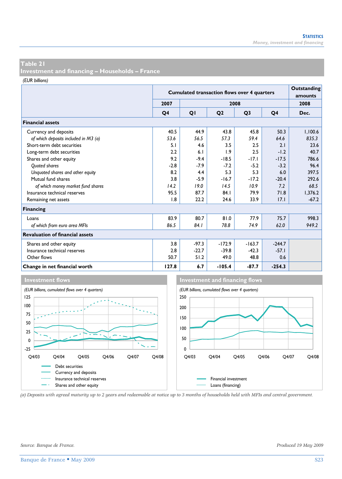**Investment and financing – Households – France** 

*(EUR billions)*

|                                        | <b>Cumulated transaction flows over 4 quarters</b> |         | Outstanding<br>amounts |                |          |         |
|----------------------------------------|----------------------------------------------------|---------|------------------------|----------------|----------|---------|
|                                        | 2007                                               |         |                        | 2008           |          | 2008    |
|                                        | Q <sub>4</sub>                                     | QI      | Q <sub>2</sub>         | Q <sub>3</sub> | Q4       | Dec.    |
| <b>Financial assets</b>                |                                                    |         |                        |                |          |         |
| Currency and deposits                  | 40.5                                               | 44.9    | 43.8                   | 45.8           | 50.3     | 1,100.6 |
| of which deposits included in M3 (a)   | 53.6                                               | 56.5    | 57.3                   | 59.4           | 64.6     | 835.3   |
| Short-term debt securities             | 5.1                                                | 4.6     | 3.5                    | 2.5            | 2.1      | 23.6    |
| Long-term debt securities              | 2.2                                                | 6.1     | 1.9                    | 2.5            | $-1.2$   | 40.7    |
| Shares and other equity                | 9.2                                                | $-9.4$  | $-18.5$                | $-17.1$        | $-17.5$  | 786.6   |
| <b>Ouoted shares</b>                   | $-2.8$                                             | $-7.9$  | $-7.2$                 | $-5.2$         | $-3.2$   | 96.4    |
| Unquoted shares and other equity       | 8.2                                                | 4.4     | 5.3                    | 5.3            | 6.0      | 397.5   |
| Mutual fund shares                     | 3.8                                                | $-5.9$  | $-16.7$                | $-17.2$        | $-20.4$  | 292.6   |
| of which money market fund shares      | 14.2                                               | 19.0    | 14.5                   | 10.9           | 7.2      | 68.5    |
| Insurance technical reserves           | 95.5                                               | 87.7    | 84.1                   | 79.9           | 71.8     | 1,376.2 |
| Remaining net assets                   | 1.8                                                | 22.2    | 24.6                   | 33.9           | 17.1     | $-67.2$ |
| Financing                              |                                                    |         |                        |                |          |         |
| Loans                                  | 83.9                                               | 80.7    | 81.0                   | 77.9           | 75.7     | 998.3   |
| of which from euro area MFIs           | 86.5                                               | 84.1    | 78.8                   | 74.9           | 62.0     | 949.2   |
| <b>Revaluation of financial assets</b> |                                                    |         |                        |                |          |         |
| Shares and other equity                | 3.8                                                | $-97.3$ | $-172.9$               | $-163.7$       | $-244.7$ |         |
| Insurance technical reserves           | 2.8                                                | $-22.7$ | $-39.8$                | $-42.3$        | $-57.1$  |         |
| Other flows                            | 50.7                                               | 51.2    | 49.0                   | 48.8           | 0.6      |         |
| Change in net financial worth          | 127.8                                              | 6.7     | $-105.4$               | $-87.7$        | $-254.3$ |         |



*(a) Deposits with agreed maturity up to 2 years and redeemable at notice up to 3 months of households held with MFIs and central government.*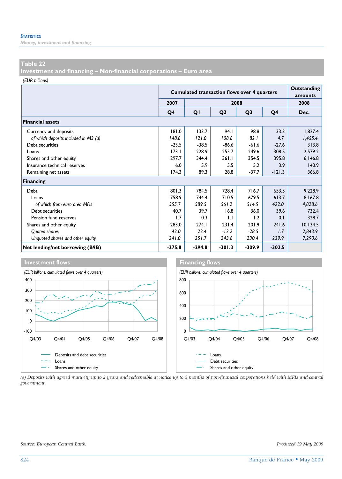*Money, investment and financing* 

#### **Table 22**

**Investment and financing – Non-financial corporations – Euro area** 

*(EUR billions)*

|                                      |          | <b>Cumulated transaction flows over 4 quarters</b> | Outstanding<br>amounts |                |          |           |
|--------------------------------------|----------|----------------------------------------------------|------------------------|----------------|----------|-----------|
|                                      | 2007     |                                                    | 2008                   |                |          | 2008      |
|                                      | Q4       | QI                                                 | Q <sub>2</sub>         | Q <sub>3</sub> | Q4       | Dec.      |
| <b>Financial assets</b>              |          |                                                    |                        |                |          |           |
| Currency and deposits                | 181.0    | 133.7                                              | 94.I                   | 98.8           | 33.3     | 1,827.4   |
| of which deposits included in M3 (a) | 148.8    | 121.0                                              | 108.6                  | 82.1           | 4.7      | 1,455.4   |
| Debt securities                      | $-23.5$  | $-38.5$                                            | $-86.6$                | $-61.6$        | $-27.6$  | 313.8     |
| Loans                                | 173.1    | 228.9                                              | 255.7                  | 249.6          | 308.5    | 2,579.2   |
| Shares and other equity              | 297.7    | 344.4                                              | 361.1                  | 354.5          | 395.8    | 6,146.8   |
| Insurance technical reserves         | 6.0      | 5.9                                                | 5.5                    | 5.2            | 3.9      | 140.9     |
| Remaining net assets                 | 174.3    | 89.3                                               | 28.8                   | $-37.7$        | $-121.3$ | 366.8     |
| <b>Financing</b>                     |          |                                                    |                        |                |          |           |
| Debt                                 | 801.3    | 784.5                                              | 728.4                  | 716.7          | 653.5    | 9,228.9   |
| Loans                                | 758.9    | 744.4                                              | 710.5                  | 679.5          | 613.7    | 8,167.8   |
| of which from euro area MFIs         | 555.7    | 589.5                                              | 561.2                  | 514.5          | 422.0    | 4,828.6   |
| Debt securities                      | 40.7     | 39.7                                               | 16.8                   | 36.0           | 39.6     | 732.4     |
| Pension fund reserves                | 1.7      | 0.3                                                | 1.1                    | 1.2            | 0.1      | 328.7     |
| Shares and other equity              | 283.0    | 274.1                                              | 231.4                  | 201.9          | 241.6    | 10, 134.5 |
| Quoted shares                        | 42.0     | 22.4                                               | $-12.2$                | $-28.5$        | 1.7      | 2,843.9   |
| Unquoted shares and other equity     | 241.0    | 251.7                                              | 243.6                  | 230.4          | 239.9    | 7,290.6   |
| Net lending/net borrowing (B9B)      | $-275.8$ | $-294.8$                                           | $-301.3$               | $-309.9$       | $-302.5$ |           |



*(a) Deposits with agreed maturity up to 2 years and redeemable at notice up to 3 months of non-financial corporations held with MFIs and central government.*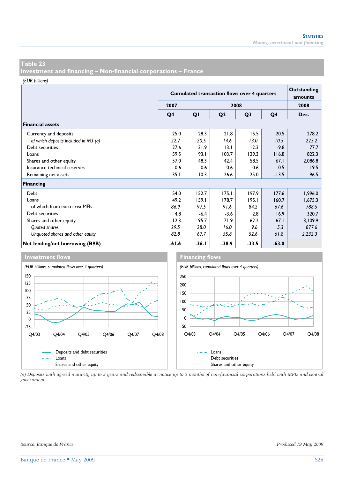**Investment and financing – Non-financial corporations – France** 

*(EUR billions)*

|                                      |                | <b>Cumulated transaction flows over 4 quarters</b> | Outstanding<br>amounts |                |                |         |
|--------------------------------------|----------------|----------------------------------------------------|------------------------|----------------|----------------|---------|
|                                      | 2007           |                                                    |                        | 2008           |                | 2008    |
|                                      | Q <sub>4</sub> | QI                                                 | Q <sub>2</sub>         | Q <sub>3</sub> | Q <sub>4</sub> | Dec.    |
| <b>Financial assets</b>              |                |                                                    |                        |                |                |         |
| Currency and deposits                | 25.0           | 28.3                                               | 21.8                   | 15.5           | 20.5           | 278.2   |
| of which deposits included in M3 (a) | 22.7           | 20.5                                               | 14.6                   | 13.0           | 10.5           | 225.2   |
| Debt securities                      | 27.6           | 31.9                                               | 13.1                   | $-2.3$         | $-9.8$         | 77.7    |
| Loans                                | 59.5           | 93.I                                               | 103.7                  | 129.3          | 116.8          | 822.3   |
| Shares and other equity              | 57.0           | 48.3                                               | 42.4                   | 58.5           | 67.1           | 2,086.8 |
| Insurance technical reserves         | 0.6            | 0.6                                                | 0.6                    | 0.6            | 0.5            | 19.5    |
| Remaining net assets                 | 35.1           | 10.3                                               | 26.6                   | 25.0           | $-13.5$        | 96.5    |
| <b>Financing</b>                     |                |                                                    |                        |                |                |         |
| Debt                                 | 154.0          | 152.7                                              | 175.1                  | 197.9          | 177.6          | 1,996.0 |
| Loans                                | 149.2          | 159.1                                              | 178.7                  | 195.1          | 160.7          | 1,675.3 |
| of which from euro area MFIs         | 86.9           | 97.5                                               | 91.6                   | 84.2           | 67.6           | 788.5   |
| Debt securities                      | 4.8            | $-6.4$                                             | $-3.6$                 | 2.8            | 16.9           | 320.7   |
| Shares and other equity              | 112.3          | 95.7                                               | 71.9                   | 62.2           | 67.1           | 3,109.9 |
| Quoted shares                        | 29.5           | 28.0                                               | 16.0                   | 9.6            | 5.3            | 877.6   |
| Unguoted shares and other equity     | 82.8           | 67.7                                               | 55.8                   | 52.6           | 61.8           | 2,232.3 |
| Net lending/net borrowing (B9B)      | $-61.6$        | $-36.1$                                            | $-38.9$                | $-33.5$        | $-63.0$        |         |



*(a) Deposits with agreed maturity up to 2 years and redeemable at notice up to 3 months of non-financial corporations held with MFIs and central government.*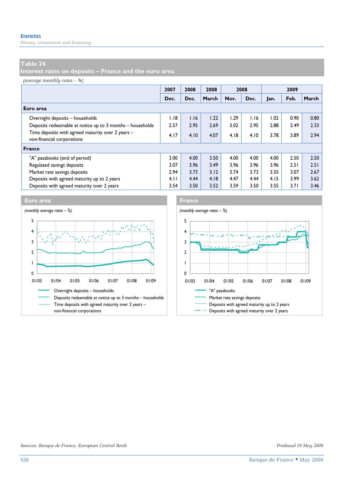*Money, investment and financing* 

# **Table 24**

**Interest rates on deposits – France and the euro area** 

*(average monthly rates – %)*

|                                                                                 | 2007 | 2008 | 2008  | 2008 |      | 2009 |      |       |
|---------------------------------------------------------------------------------|------|------|-------|------|------|------|------|-------|
|                                                                                 | Dec. | Dec. | March | Nov. | Dec. | lan. | Feb. | March |
| Euro area                                                                       |      |      |       |      |      |      |      |       |
| Overnight deposits - households                                                 | 1.18 | 1.16 | 1.22  | 1.29 | 1.16 | 1.02 | 0.90 | 0.80  |
| Deposits redeemable at notice up to 3 months - households                       | 2.57 | 2.95 | 2.69  | 3.02 | 2.95 | 2.88 | 2.49 | 2.33  |
| Time deposits with agreed maturity over 2 years -<br>non-financial corporations | 4.17 | 4.10 | 4.07  | 4.18 | 4.10 | 3.78 | 3.89 | 2.94  |
| France                                                                          |      |      |       |      |      |      |      |       |
| "A" passbooks (end of period)                                                   | 3.00 | 4.00 | 3.50  | 4.00 | 4.00 | 4.00 | 2.50 | 2.50  |
| Regulated savings deposits                                                      | 3.07 | 3.96 | 3.49  | 3.96 | 3.96 | 3.96 | 2.51 | 2.51  |
| Market rate savings deposits                                                    | 2.94 | 3.73 | 3.12  | 3.74 | 3.73 | 3.55 | 3.07 | 2.67  |
| Deposits with agreed maturity up to 2 years                                     | 4.11 | 4.44 | 4.18  | 4.47 | 4.44 | 4.15 | 3.99 | 3.62  |
| Deposits with agreed maturity over 2 years                                      | 3.54 | 3.50 | 3.52  | 3.59 | 3.50 | 3.55 | 3.71 | 3.46  |





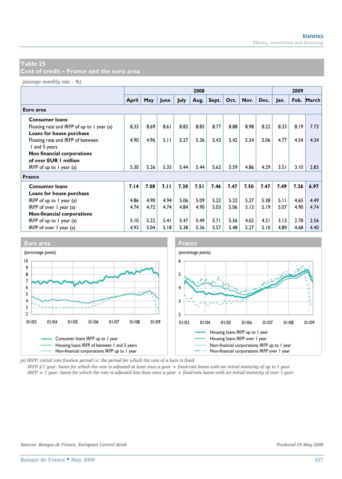**Cost of credit – France and the euro area** 

*(average monthly rate – %)*

|                                            |       | 2008 |      |             |      |       |      |      |      | 2009 |      |       |
|--------------------------------------------|-------|------|------|-------------|------|-------|------|------|------|------|------|-------|
|                                            | April | May  | June | <b>July</b> | Aug. | Sept. | Oct. | Nov. | Dec. | Jan. | Feb. | March |
| Euro area                                  |       |      |      |             |      |       |      |      |      |      |      |       |
| <b>Consumer loans</b>                      |       |      |      |             |      |       |      |      |      |      |      |       |
| Floating rate and IRFP of up to 1 year (a) | 8.33  | 8.69 | 8.61 | 8.82        | 8.85 | 8.77  | 8.88 | 8.98 | 8.22 | 8.33 | 8.19 | 7.73  |
| Loans for house purchase                   |       |      |      |             |      |       |      |      |      |      |      |       |
| Floating rate and IRFP of between          | 4.90  | 4.96 | 5.11 | 5.27        | 5.36 | 5.43  | 5.42 | 5.34 | 5.06 | 4.77 | 4.54 | 4.34  |
| I and 5 years                              |       |      |      |             |      |       |      |      |      |      |      |       |
| Non financial corporations                 |       |      |      |             |      |       |      |      |      |      |      |       |
| of over EUR 1 million                      |       |      |      |             |      |       |      |      |      |      |      |       |
| IRFP of up to $\ell$ year (a)              | 5.30  | 5.26 | 5.35 | 5.44        | 5.44 | 5.62  | 5.59 | 4.86 | 4.29 | 3.51 | 3.10 | 2.83  |
| <b>France</b>                              |       |      |      |             |      |       |      |      |      |      |      |       |
| <b>Consumer loans</b>                      | 7.14  | 7.08 | 7.11 | 7.30        | 7.51 | 7.46  | 7.47 | 7.50 | 7.47 | 7.49 | 7.26 | 6.97  |
| Loans for house purchase                   |       |      |      |             |      |       |      |      |      |      |      |       |
| IRFP of up to $\ell$ year (a)              | 4.86  | 4.90 | 4.94 | 5.06        | 5.09 | 5.22  | 5.22 | 5.27 | 5.38 | 5.11 | 4.65 | 4.49  |
| IRFP of over $I$ year (a)                  | 4.74  | 4.72 | 4.74 | 4.84        | 4.90 | 5.03  | 5.06 | 5.13 | 5.19 | 5.07 | 4.90 | 4.74  |
| Non-financial corporations                 |       |      |      |             |      |       |      |      |      |      |      |       |
| IRFP of up to $\ell$ year (a)              | 5.10  | 5.22 | 5.41 | 5.47        | 5.49 | 5.71  | 5.56 | 4.62 | 4.21 | 3.13 | 2.78 | 2.56  |
| IRFP of over 1 year (a)                    | 4.93  | 5.04 | 5.18 | 5.38        | 5.36 | 5.57  | 5.48 | 5.27 | 5.10 | 4.89 | 4.68 | 4.40  |



*(a) IRFP: initial rate fixation period i.e. the period for which the rate of a loan is fixed.* 

*IRFP* ≤ *1 year: loans for which the rate is adjusted at least once a year + fixed-rate loans with an initial maturity of up to 1 year. IRFP > 1 year: loans for which the rate is adjusted less than once a year + fixed-rate loans with an initial maturity of over 1 year.*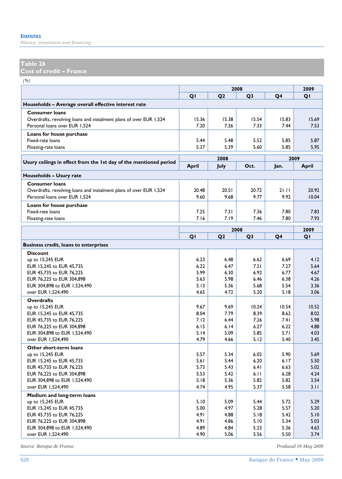*Money, investment and financing* 

# **Table 26**

**Cost of credit – France** 

*(%)*

|                                                                    |              | 2009           |                |                |       |
|--------------------------------------------------------------------|--------------|----------------|----------------|----------------|-------|
|                                                                    | QI           | Q <sub>2</sub> | Q <sub>3</sub> | Q4             | QI    |
| Households – Average overall effective interest rate               |              |                |                |                |       |
| <b>Consumer loans</b>                                              |              |                |                |                |       |
| Overdrafts, revolving loans and instalment plans of over EUR 1,524 | 15.36        | 15.38          | 15.54          | 15.83          | 15.69 |
| Personal loans over EUR 1,524                                      | 7.20         | 7.26           | 7.33           | 7.44           | 7.53  |
| Loans for house purchase                                           |              |                |                |                |       |
| Fixed-rate loans                                                   | 5.44         | 5.48           | 5.52           | 5.85           | 5.87  |
| Floating-rate loans                                                | 5.37         | 5.39           | 5.60           | 5.85           | 5.95  |
|                                                                    |              | 2008           |                | 2009           |       |
| Usury ceilings in effect from the 1st day of the mentioned period  | <b>April</b> | July           | Oct.           | Jan.           |       |
|                                                                    |              |                |                |                | April |
| Households - Usury rate                                            |              |                |                |                |       |
| <b>Consumer loans</b>                                              |              |                |                |                |       |
| Overdrafts, revolving loans and instalment plans of over EUR 1,524 | 20.48        | 20.51          | 20.72          | 21.11          | 20.92 |
| Personal loans over EUR 1,524                                      | 9.60         | 9.68           | 9.77           | 9.92           | 10.04 |
| Loans for house purchase                                           |              |                |                |                |       |
| Fixed-rate loans                                                   | 7.25         | 7.31           | 7.36           | 7.80           | 7.83  |
| Floating-rate loans                                                | 7.16         | 7.19           | 7.46           | 7.80           | 7.93  |
|                                                                    |              | 2008           |                |                | 2009  |
|                                                                    | QI           | Q <sub>2</sub> | Q <sub>3</sub> | Q <sub>4</sub> | QI    |
| <b>Business credit, loans to enterprises</b>                       |              |                |                |                |       |
|                                                                    |              |                |                |                |       |
| <b>Discount</b>                                                    | 6.23         | 6.48           | 6.62           | 6.69           | 4.12  |
| up to $15,245$ EUR<br>EUR 15,245 to EUR 45,735                     | 6.22         | 6.47           | 7.21           | 7.27           | 5.64  |
| EUR 45,735 to EUR 76,225                                           | 5.99         | 6.30           | 6.92           | 6.77           | 4.67  |
| EUR 76,225 to EUR 304,898                                          | 5.63         | 5.98           | 6.46           | 6.38           | 4.26  |
| EUR 304,898 to EUR 1,524,490                                       | 5.13         | 5.36           | 5.68           | 5.54           | 3.36  |
| over EUR 1,524,490                                                 | 4.65         | 4.72           | 5.20           | 5.18           | 3.06  |
| <b>Overdrafts</b>                                                  |              |                |                |                |       |
| up to 15,245 EUR                                                   | 9.67         | 9.69           | 10.24          | 10.54          | 10.52 |
| EUR 15,245 to EUR 45,735                                           | 8.04         | 7.79           | 8.39           | 8.62           | 8.02  |
| EUR 45,735 to EUR 76,225                                           | 7.12         | 6.44           | 7.26           | 7.41           | 5.98  |
| EUR 76,225 to EUR 304,898                                          | 6.15         | 6.14           | 6.27           | 6.22           | 4.88  |
| EUR 304,898 to EUR 1,524,490                                       | 5.14         | 5.09           | 5.85           | 5.71           | 4.03  |
| over EUR 1,524,490                                                 | 4.79         | 4.66           | 5.12           | 5.40           | 3.45  |
| Other short-term loans                                             |              |                |                |                |       |
| up to 15,245 EUR                                                   | 5.57         | 5.34           | 6.02           | 5.90           | 5.69  |
| EUR 15,245 to EUR 45,735                                           | 5.61         | 5.44           | 6.20           | 6.17           | 5.50  |
| EUR 45,735 to EUR 76,225                                           | 5.73         | 5.43           | 6.41           | 6.63           | 5.02  |
| EUR 76,225 to EUR 304,898                                          | 5.53         | 5.42           | 6.11           | 6.28           | 4.24  |
| EUR 304,898 to EUR 1,524,490                                       | 5.18         | 5.36           | 5.82           | 5.82           | 3.54  |
| over EUR 1,524,490                                                 | 4.74         | 4.95           | 5.37           | 5.58           | 3.11  |
| Medium and long-term loans                                         |              |                |                |                |       |
| up to 15,245 EUR                                                   | 5.10         | 5.09           | 5.44           | 5.72           | 5.29  |
| EUR 15,245 to EUR 45,735                                           | 5.00         | 4.97           | 5.28           | 5.57           | 5.20  |
| EUR 45,735 to EUR 76,225                                           | 4.91         | 4.88           | 5.18           | 5.42           | 5.10  |
| EUR 76,225 to EUR 304,898                                          | 4.91         | 4.86           | 5.10           | 5.34           | 5.03  |
| EUR 304,898 to EUR 1,524,490                                       | 4.89         | 4.84           | 5.23           | 5.36           | 4.63  |
| over EUR 1,524,490                                                 | 4.90         | 5.06           | 5.56           | 5.50           | 3.74  |

*Source: Banque de France. Produced 19 May 2009*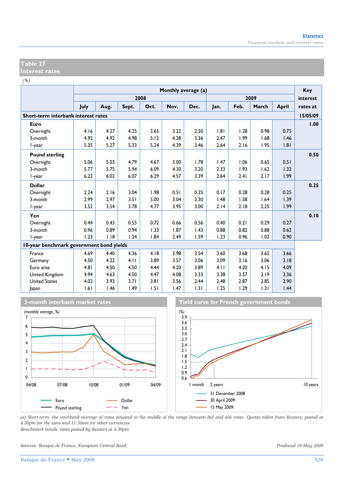#### **Table 27 Interest rates**

*(%)*

|                                          | Monthly average (a) |      |       |      |      |      |      |      |       | <b>Key</b>   |          |
|------------------------------------------|---------------------|------|-------|------|------|------|------|------|-------|--------------|----------|
|                                          |                     |      |       | 2008 |      |      |      |      | 2009  |              | interest |
|                                          | July                | Aug. | Sept. | Oct. | Nov. | Dec. | Jan. | Feb. | March | <b>April</b> | rates at |
| Short-term interbank interest rates      |                     |      |       |      |      |      |      |      |       |              | 15/05/09 |
| Euro                                     |                     |      |       |      |      |      |      |      |       |              | 1.00     |
| Overnight                                | 4.16                | 4.27 | 4.25  | 3.65 | 3.22 | 2.50 | .8   | 1.28 | 0.98  | 0.75         |          |
| 3-month                                  | 4.92                | 4.92 | 4.98  | 5.12 | 4.28 | 3.36 | 2.47 | 1.99 | 1.68  | 1.46         |          |
| I-year                                   | 5.35                | 5.27 | 5.33  | 5.24 | 4.39 | 3.46 | 2.64 | 2.16 | 1.95  | 1.81         |          |
| <b>Pound sterling</b>                    |                     |      |       |      |      |      |      |      |       |              | 0.50     |
| Overnight                                | 5.06                | 5.03 | 4.79  | 4.67 | 3.00 | 1.78 | 1.47 | 1.06 | 0.65  | 0.51         |          |
| 3-month                                  | 5.77                | 5.75 | 5.94  | 6.09 | 4.30 | 3.20 | 2.33 | 1.93 | 1.62  | 1.32         |          |
| l-year                                   | 6.23                | 6.02 | 6.07  | 6.29 | 4.57 | 3.39 | 2.64 | 2.41 | 2.17  | 1.99         |          |
| <b>Dollar</b>                            |                     |      |       |      |      |      |      |      |       |              | 0.25     |
| Overnight                                | 2.24                | 2.16 | 3.04  | 1.98 | 0.51 | 0.25 | 0.17 | 0.28 | 0.28  | 0.25         |          |
| 3-month                                  | 2.99                | 2.97 | 3.51  | 5.00 | 3.04 | 2.30 | 1.48 | 1.58 | 1.64  | 1.39         |          |
| l-year                                   | 3.52                | 3.54 | 3.78  | 4.77 | 3.95 | 3.00 | 2.14 | 2.18 | 2.25  | 1.99         |          |
| Yen                                      |                     |      |       |      |      |      |      |      |       |              | 0.10     |
| Overnight                                | 0.44                | 0.43 | 0.55  | 0.72 | 0.66 | 0.56 | 0.40 | 0.21 | 0.29  | 0.27         |          |
| 3-month                                  | 0.96                | 0.89 | 0.94  | 1.33 | 1.87 | 1.43 | 0.88 | 0.82 | 0.88  | 0.62         |          |
| l-year                                   | 1.23                | 1.18 | 1.24  | 1.84 | 2.49 | 1.59 | 1.23 | 0.96 | 1.02  | 0.90         |          |
| 10-year benchmark government bond yields |                     |      |       |      |      |      |      |      |       |              |          |
| France                                   | 4.69                | 4.40 | 4.36  | 4.18 | 3.98 | 3.54 | 3.60 | 3.68 | 3.65  | 3.66         |          |
| Germany                                  | 4.50                | 4.22 | 4.11  | 3.89 | 3.57 | 3.06 | 3.09 | 3.16 | 3.06  | 3.18         |          |
| Euro area                                | 4.81                | 4.50 | 4.50  | 4.44 | 4.20 | 3.89 | 4.11 | 4.20 | 4.15  | 4.09         |          |
| United Kingdom                           | 4.94                | 4.63 | 4.50  | 4.47 | 4.08 | 3.33 | 3.38 | 3.57 | 3.19  | 3.36         |          |
| <b>United States</b>                     | 4.02                | 3.93 | 3.71  | 3.81 | 3.56 | 2.44 | 2.48 | 2.87 | 2.85  | 2.90         |          |
| Japan                                    | 1.61                | 1.46 | 1.49  | 1.51 | 1.47 | 1.31 | 1.25 | 1.29 | 1.31  | 1.44         |          |









*(a) Short-term: the interbank average of rates situated in the middle of the range between bid and ask rates. Quotes taken from Reuters, posted at 4.30pm for the euro and 11.30am for other currencies. Benchmark bonds: rates posted by Reuters at 4.30pm.* 

*Sources: Banque de France, European Central Bank. Produced 19 May 2009*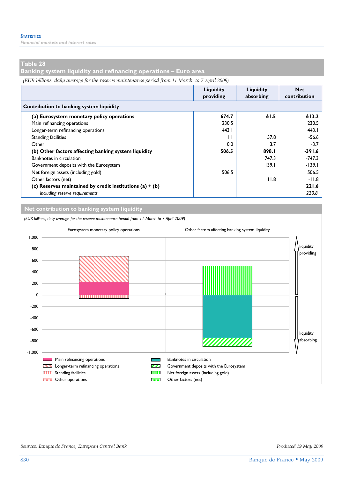*Financial markets and interest rates* 

### **Table 28**

**Banking system liquidity and refinancing operations – Euro area** 

*(EUR billions, daily average for the reserve maintenance period from 11 March to 7 April 2009)*

|                                                            | Liquidity<br>providing | Liauidity<br>absorbing | <b>Net</b><br>contribution |
|------------------------------------------------------------|------------------------|------------------------|----------------------------|
| Contribution to banking system liquidity                   |                        |                        |                            |
| (a) Eurosystem monetary policy operations                  | 674.7                  | 61.5                   | 613.2                      |
| Main refinancing operations                                | 230.5                  |                        | 230.5                      |
| Longer-term refinancing operations                         | 443.1                  |                        | 443.1                      |
| Standing facilities                                        | $\mathsf{L}$           | 57.8                   | $-56.6$                    |
| Other                                                      | 0.0                    | 3.7                    | $-3.7$                     |
| (b) Other factors affecting banking system liquidity       | 506.5                  | 898.1                  | $-391.6$                   |
| Banknotes in circulation                                   |                        | 747.3                  | $-747.3$                   |
| Government deposits with the Eurosystem                    |                        | 139.1                  | $-139.1$                   |
| Net foreign assets (including gold)                        | 506.5                  |                        | 506.5                      |
| Other factors (net)                                        |                        | 11.8                   | $-11.8$                    |
| (c) Reserves maintained by credit institutions (a) $+$ (b) |                        |                        | 221.6                      |
| including reserve requirements                             |                        |                        | 220.8                      |

**Net contribution to banking system liquidity** *(EUR billions, daily average for the reserve maintenance period from 11 March to 7 April 2009)* Eurosystem monetary policy operations Other factors affecting banking system liquidity 1,000 liquidity 800 providing 600 400 200 0 ....................... -200 -400 -600 liquidity -800 absorbing mmmm -1,000 **EXECUPER Main refinancing operations** Banknotes in circulation Longer-term refinancing operations Government deposits with the Eurosystem **THE Standing facilities** Net foreign assets (including gold) **CORECTE** Other operations **CORECTE** Other factors (net)

*Sources: Banque de France, European Central Bank. Produced 19 May 2009*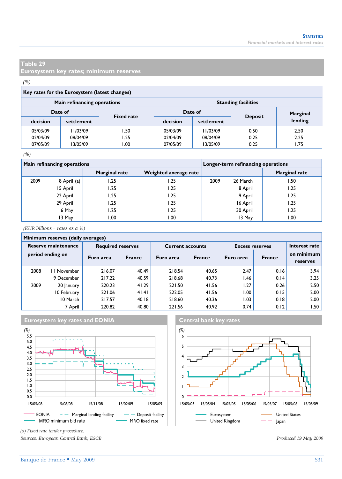**Eurosystem key rates; minimum reserves** 

#### *(%)*

#### **Key rates for the Eurosystem (latest changes)**

|          | Main refinancing operations |                   | <b>Standing facilities</b> |            |                |          |  |  |  |
|----------|-----------------------------|-------------------|----------------------------|------------|----------------|----------|--|--|--|
| Date of  |                             | <b>Fixed rate</b> | Date of                    |            |                | Marginal |  |  |  |
| decision | settlement                  |                   | decision                   | settlement | <b>Deposit</b> | lending  |  |  |  |
| 05/03/09 | 1/03/09                     | 1.50              | 05/03/09                   | 11/03/09   | 0.50           | 2.50     |  |  |  |
| 02/04/09 | 08/04/09                    | 1.25              | 02/04/09                   | 08/04/09   | 0.25           | 2.25     |  |  |  |
| 07/05/09 | 13/05/09                    | 00. ا             | 07/05/09                   | 13/05/09   | 0.25           | 1.75     |  |  |  |

#### *(%)*

|      | Main refinancing operations |                      | Longer-term refinancing operations |      |          |                      |  |
|------|-----------------------------|----------------------|------------------------------------|------|----------|----------------------|--|
|      |                             | <b>Marginal rate</b> | Weighted average rate              |      |          | <b>Marginal rate</b> |  |
| 2009 | 8 April (a)                 | 1.25                 | 1.25                               | 2009 | 26 March | 1.50                 |  |
|      | 15 April                    | 1.25                 | l.25                               |      | 8 April  | 1.25                 |  |
|      | 22 April                    | 1.25                 | .25                                |      | 9 April  | 1.25                 |  |
|      | 29 April                    | 1.25                 | l.25                               |      | 16 April | 1.25                 |  |
|      | 6 May                       | 1.25                 | .25                                |      | 30 April | 1.25                 |  |
|      | 13 May                      | 00. ا                | 00.1                               |      | 13 May   | 1.00                 |  |

*(EUR billions – rates as a %)*

#### **Minimum reserves (daily averages) Reserve maintenance Required reserves Current accounts Excess reserves period ending on** 2008 II November | 216.07 | 40.49 | 218.54 | 40.65 | 2.47 | 0.16 | 3.94 9 December 217.22 40.59 218.68 40.73 1.46 0.14 3.25 2009 20 January | 220.23 | 41.29 | 221.50 | 41.56 | 1.27 | 0.26 | 2.50 10 February | 221.06 | 41.41 | 222.05 | 41.56 | 1.00 | 0.15 | 2.00 10 March 217.57 40.18 218.60 40.36 1.03 0.18 2.00 7 April 220.82 40.80 221.56 40.92 0.74 0.12 1.50 **Euro area | France | Euro area | France | Euro area | France Interest rate on minimum reserves**





*(a) Fixed rate tender procedure.* 

*Sources: European Central Bank, ESCB. Produced 19 May 2009*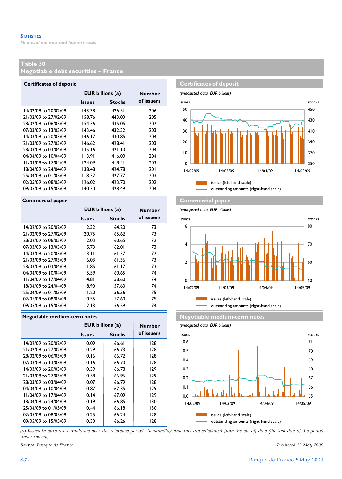**Negotiable debt securities – France** 

| <b>Certificates of deposit</b> |                         |               |               |  |  |  |  |  |  |
|--------------------------------|-------------------------|---------------|---------------|--|--|--|--|--|--|
|                                | <b>EUR billions (a)</b> |               | <b>Number</b> |  |  |  |  |  |  |
|                                | <b>Issues</b>           | <b>Stocks</b> | of issuers    |  |  |  |  |  |  |
| 14/02/09 to 20/02/09           | 143.38                  | 426.51        | 206           |  |  |  |  |  |  |
| 21/02/09 to 27/02/09           | 158.76                  | 443.03        | 205           |  |  |  |  |  |  |
| 28/02/09 to 06/03/09           | 154.36                  | 435.05        | 202           |  |  |  |  |  |  |
| 07/03/09 to 13/03/09           | 143.46                  | 432.32        | 203           |  |  |  |  |  |  |
| 14/03/09 to 20/03/09           | 146.17                  | 430.85        | 204           |  |  |  |  |  |  |
| 21/03/09 to 27/03/09           | 146.62                  | 428.41        | 203           |  |  |  |  |  |  |
| 28/03/09 to 03/04/09           | 135.16                  | 421.10        | 204           |  |  |  |  |  |  |
| 04/04/09 to 10/04/09           | 113.91                  | 416.09        | 204           |  |  |  |  |  |  |
| 11/04/09 to 17/04/09           | 124.09                  | 418.41        | 203           |  |  |  |  |  |  |
| 18/04/09 to 24/04/09           | 138.48                  | 424.78        | 201           |  |  |  |  |  |  |
| 25/04/09 to 01/05/09           | 118.32                  | 427.77        | 203           |  |  |  |  |  |  |
| 02/05/09 to 08/05/09           | 126.02                  | 423.70        | 202           |  |  |  |  |  |  |
| 09/05/09 to 15/05/09           | 140.30                  | 428.49        | 204           |  |  |  |  |  |  |

|                      | <b>EUR billions (a)</b> |               | <b>Number</b> |
|----------------------|-------------------------|---------------|---------------|
|                      | <b>Issues</b>           | <b>Stocks</b> | of issuers    |
| 14/02/09 to 20/02/09 | 12.32                   | 64.20         | 73            |
| 21/02/09 to 27/02/09 | 20.75                   | 65.62         | 73            |
| 28/02/09 to 06/03/09 | 12.03                   | 60.65         | 72            |
| 07/03/09 to 13/03/09 | 15.73                   | 62.01         | 73            |
| 14/03/09 to 20/03/09 | 13.11                   | 61.37         | 72            |
| 21/03/09 to 27/03/09 | 16.03                   | 61.36         | 73            |
| 28/03/09 to 03/04/09 | 11.85                   | 61.17         | 73            |
| 04/04/09 to 10/04/09 | 15.59                   | 60.65         | 74            |
| 11/04/09 to 17/04/09 | 14.81                   | 58.60         | 74            |
| 18/04/09 to 24/04/09 | 18.90                   | 57.60         | 74            |
| 25/04/09 to 01/05/09 | 11.20                   | 56.56         | 75            |
| 02/05/09 to 08/05/09 | 10.55                   | 57.60         | 75            |
| 09/05/09 to 15/05/09 | 12.13                   | 56.59         | 74            |

#### **Negotiable medium-term notes Negotiable medium-term notes**

|                      | <b>EUR billions (a)</b> | <b>Number</b> |            |
|----------------------|-------------------------|---------------|------------|
|                      | <b>Issues</b>           | <b>Stocks</b> | of issuers |
| 14/02/09 to 20/02/09 | 0.09                    | 66.61         | 128        |
| 21/02/09 to 27/02/09 | 0.29                    | 66.73         | 128        |
| 28/02/09 to 06/03/09 | 0.16                    | 66.72         | 128        |
| 07/03/09 to 13/03/09 | 0.16                    | 66.70         | 128        |
| 14/03/09 to 20/03/09 | 0.39                    | 66.78         | 129        |
| 21/03/09 to 27/03/09 | 0.58                    | 66.96         | 129        |
| 28/03/09 to 03/04/09 | 0.07                    | 66.79         | 128        |
| 04/04/09 to 10/04/09 | 0.87                    | 67.35         | 129        |
| 11/04/09 to 17/04/09 | 0.14                    | 67.09         | 129        |
| 18/04/09 to 24/04/09 | 0.19                    | 66.85         | 130        |
| 25/04/09 to 01/05/09 | 0.44                    | 66.18         | 130        |
| 02/05/09 to 08/05/09 | 0.25                    | 66.24         | 128        |
| 09/05/09 to 15/05/09 | 0.30                    | 66.26         | 128        |



**Commercial paper Commercial paper**





*(a) Issues in euro are cumulative over the reference period. Outstanding amounts are calculated from the cut-off date (the last day of the period under review).* 

*Source: Banque de France. Produced 19 May 2009*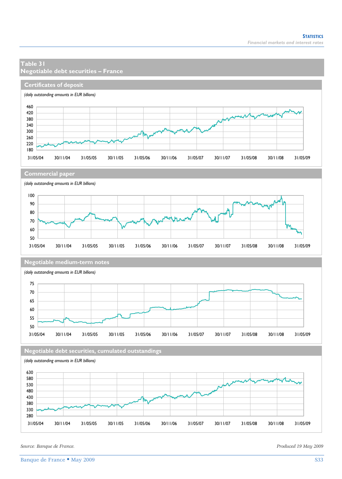# **Table 31 Negotiable debt securities – France Certificates of deposit** *(daily outstanding amounts in EUR billions)* **Commercial paper** *(daily outstanding amounts in EUR billions)* **Negotiable medium-term notes** *(daily outstanding amounts in EUR billions)* **Negotiable debt securities, cumulated outstandings** *(daily outstanding amounts in EUR billions)* 31/05/04 30/11/04 31/05/05 30/11/05 31/05/06 30/11/06 31/05/07 30/11/07 31/05/08 30/11/08 31/05/09 31/05/04 30/11/04 31/05/05 30/11/05 31/05/06 30/11/06 31/05/07 30/11/07 31/05/08 30/11/08 31/05/09 31/05/04 30/11/04 31/05/05 30/11/05 31/05/06 30/11/06 31/05/07 30/11/07 31/05/08 30/11/08 31/05/09 31/05/04 30/11/04 31/05/05 30/11/05 31/05/06 30/11/06 31/05/07 30/11/07 31/05/08 30/11/08 31/05/09

*Source: Banque de France. Produced 19 May 2009*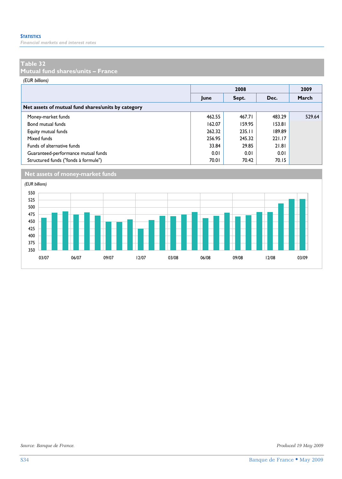*Financial markets and interest rates* 

## **Table 32**

**Mutual fund shares/units – France** 

#### *(EUR billions)*

|                                                    |        |        | 2009   |        |
|----------------------------------------------------|--------|--------|--------|--------|
|                                                    | June   | Sept.  | Dec.   | March  |
| Net assets of mutual fund shares/units by category |        |        |        |        |
| Money-market funds                                 | 462.55 | 467.71 | 483.29 | 529.64 |
| Bond mutual funds                                  | 162.07 | 159.95 | 153.81 |        |
| Equity mutual funds                                | 262.32 | 235.11 | 189.89 |        |
| Mixed funds                                        | 256.95 | 245.32 | 221.17 |        |
| Funds of alternative funds                         | 33.84  | 29.85  | 21.81  |        |
| Guaranteed-performance mutual funds                | 0.01   | 0.01   | 0.01   |        |
| Structured funds ("fonds à formule")               | 70.01  | 70.42  | 70.15  |        |



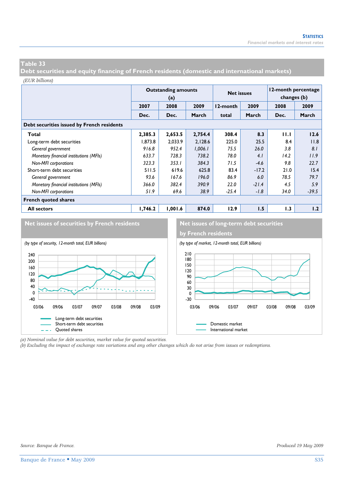**Debt securities and equity financing of French residents (domestic and international markets)** 

#### *(EUR billions)*

|                                            |         | <b>Outstanding amounts</b><br>(a) |         | <b>Net issues</b> |         | 12-month percentage<br>changes (b) |         |  |  |  |  |
|--------------------------------------------|---------|-----------------------------------|---------|-------------------|---------|------------------------------------|---------|--|--|--|--|
|                                            | 2007    | 2008                              | 2009    | 12-month          | 2009    |                                    | 2009    |  |  |  |  |
|                                            | Dec.    | Dec.                              | March   | total             | March   | Dec.                               | March   |  |  |  |  |
| Debt securities issued by French residents |         |                                   |         |                   |         |                                    |         |  |  |  |  |
| Total                                      | 2,385.3 | 2,653.5                           | 2,754.4 | 308.4             | 8.3     | 11.1                               | 12.6    |  |  |  |  |
| Long-term debt securities                  | 1.873.8 | 2.033.9                           | 2,128.6 | 225.0             | 25.5    | 8.4                                | 11.8    |  |  |  |  |
| General government                         | 916.8   | 952.4                             | 1,006.1 | 75.5              | 26.0    | 3.8                                | 8.1     |  |  |  |  |
| Monetary financial institutions (MFIs)     | 633.7   | 728.3                             | 738.2   | 78.0              | 4.1     | 14.2                               | 11.9    |  |  |  |  |
| <b>Non-MFI</b> corporations                | 323.3   | 353.1                             | 384.3   | 71.5              | $-4.6$  | 9.8                                | 22.7    |  |  |  |  |
| Short-term debt securities                 | 511.5   | 619.6                             | 625.8   | 83.4              | $-17.2$ | 21.0                               | 15.4    |  |  |  |  |
| General government                         | 93.6    | 167.6                             | 196.0   | 86.9              | 6.0     | 78.5                               | 79.7    |  |  |  |  |
| Monetary financial institutions (MFIs)     | 366.0   | 382.4                             | 390.9   | 22.0              | $-21.4$ | 4.5                                | 5.9     |  |  |  |  |
| <b>Non-MFI</b> corporations                | 51.9    | 69.6                              | 38.9    | $-25.4$           | $-1.8$  | 34.0                               | $-39.5$ |  |  |  |  |
| <b>French quoted shares</b>                |         |                                   |         |                   |         |                                    |         |  |  |  |  |
| <b>All sectors</b>                         | 1,746.2 | 1.001.6                           | 874.0   | 12.9              | 1.5     | 1.3                                | 1.2     |  |  |  |  |





*(a) Nominal value for debt securities, market value for quoted securities.* 

*(b) Excluding the impact of exchange rate variations and any other changes which do not arise from issues or redemptions.*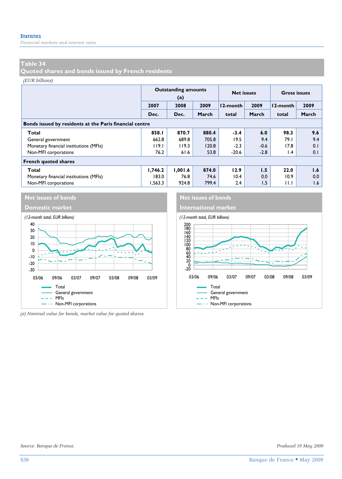*Financial markets and interest rates* 

# **Table 34**

**Quoted shares and bonds issued by French residents** 

#### *(EUR billions)*

|                                                         |         | <b>Outstanding amounts</b><br>(a) |       | <b>Net issues</b> |        | <b>Gross issues</b> |       |  |  |  |  |
|---------------------------------------------------------|---------|-----------------------------------|-------|-------------------|--------|---------------------|-------|--|--|--|--|
|                                                         | 2007    | 2008                              | 2009  | 12-month          | 2009   | 12-month            | 2009  |  |  |  |  |
|                                                         | Dec.    | Dec.                              | March | total             | March  | total               | March |  |  |  |  |
| Bonds issued by residents at the Paris financial centre |         |                                   |       |                   |        |                     |       |  |  |  |  |
| Total                                                   | 858.1   | 870.7                             | 880.4 | $-3.4$            | 6.0    | 98.3                | 9.6   |  |  |  |  |
| General government                                      | 662.8   | 689.8                             | 705.8 | 19.5              | 9.4    | 79.I                | 9.4   |  |  |  |  |
| Monetary financial institutions (MFIs)                  | 119.1   | 119.3                             | 120.8 | $-2.3$            | $-0.6$ | 17.8                | 0.1   |  |  |  |  |
| Non-MFI corporations                                    | 76.2    | 61.6                              | 53.8  | $-20.6$           | $-2.8$ | l.4                 | 0.1   |  |  |  |  |
| <b>French quoted shares</b>                             |         |                                   |       |                   |        |                     |       |  |  |  |  |
| Total                                                   | 1,746.2 | 1.001.6                           | 874.0 | 12.9              | 1.5    | 22.0                | 1.6   |  |  |  |  |
| Monetary financial institutions (MFIs)                  | 183.0   | 76.8                              | 74.6  | 10.4              | 0.0    | 10.9                | 0.0   |  |  |  |  |
| Non-MFI corporations                                    | 1.563.3 | 924.8                             | 799.4 | 2.4               | 1.5    | 11.1                | 1.6   |  |  |  |  |



*(a) Nominal value for bonds, market value for quoted shares.* 

**Net issues of bonds** Net issues of bonds

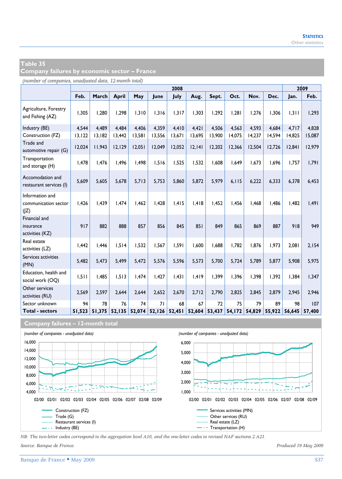**Company failures by economic sector – France** 

*(number of companies, unadjusted data, 12-month total)*

|                                                 |         | 2008   |              |        |        |        |        |        |        |        |        |        | 2009   |
|-------------------------------------------------|---------|--------|--------------|--------|--------|--------|--------|--------|--------|--------|--------|--------|--------|
|                                                 | Feb.    | March  | <b>April</b> | May    | June   | July   | Aug.   | Sept.  | Oct.   | Nov.   | Dec.   | Jan.   | Feb.   |
| Agriculture, Forestry<br>and Fishing (AZ)       | 1,305   | 1.280  | 1,298        | 1.310  | 1.316  | 1.317  | 1.303  | 1,292  | 1.281  | 1.276  | 1.306  | 1.311  | 1,293  |
| Industry (BE)                                   | 4,544   | 4.489  | 4,484        | 4.406  | 4.359  | 4,410  | 4.421  | 4,506  | 4,563  | 4,593  | 4,684  | 4,717  | 4,828  |
| Construction (FZ)                               | 13, 122 | 13,182 | 13,442       | 13,581 | 13,556 | 13,671 | 13,695 | 13,900 | 14,075 | 14,237 | 14,594 | 14,825 | 15,087 |
| Trade and<br>automotive repair (G)              | 12,024  | 11,943 | 12,129       | 12,051 | 12,049 | 12,052 | 12,141 | 12,202 | 12,366 | 12,504 | 12,726 | 12,841 | 12,979 |
| Transportation<br>and storage (H)               | 1,478   | 1.476  | 1,496        | 1.498  | 1,516  | 1.525  | 1,532  | 1,608  | 1.649  | 1.673  | 1.696  | 1,757  | 1,791  |
| Accomodation and<br>restaurant services (I)     | 5,609   | 5.605  | 5,678        | 5.713  | 5.753  | 5.860  | 5,872  | 5,979  | 6.115  | 6,222  | 6.333  | 6,378  | 6,453  |
| Information and<br>communication sector<br>(IZ) | 1.426   | 1.439  | 1.474        | 1.462  | 1.428  | 1.415  | 1,418  | 1.452  | 1.456  | 1.468  | 1.486  | 1,482  | 1,491  |
| Financial and<br>insurance<br>activities (KZ)   | 917     | 882    | 888          | 857    | 856    | 845    | 851    | 849    | 865    | 869    | 887    | 918    | 949    |
| Real estate<br>activities (LZ)                  | 1,442   | 1.446  | 1,514        | 1.532  | 1,567  | 1.591  | 1,600  | 1,688  | 1.782  | 1.876  | 1.973  | 2.081  | 2,154  |
| Services activities<br>(MN)                     | 5,482   | 5,473  | 5,499        | 5,472  | 5,576  | 5,596  | 5,573  | 5,700  | 5,724  | 5,789  | 5,877  | 5,908  | 5,975  |
| Education, health and<br>social work (OQ)       | 1,511   | 1,485  | 1,513        | 1.474  | 1,427  | 1,431  | 1,419  | 1,399  | 1,396  | 1,398  | 1.392  | 1,384  | 1,347  |
| Other services<br>activities (RU)               | 2,569   | 2.597  | 2.644        | 2.644  | 2.652  | 2,670  | 2.712  | 2,790  | 2.825  | 2.845  | 2.879  | 2.945  | 2,946  |
| Sector unknown                                  | 94      | 78     | 76           | 74     | 71     | 68     | 67     | 72     | 75     | 79     | 89     | 98     | 107    |
| <b>Total - sectors</b>                          | 51,523  | 51,375 | 52,135       | 52,074 | 52,126 | 52,451 | 52,604 | 53,437 | 54,172 | 54,829 | 55,922 | 56,645 | 57.400 |





*NB: The two-letter codes correspond to the aggregation level A10, and the one-letter codes to revised NAF sections 2 A21.* 

*Source: Banque de France. Produced 19 May 2009*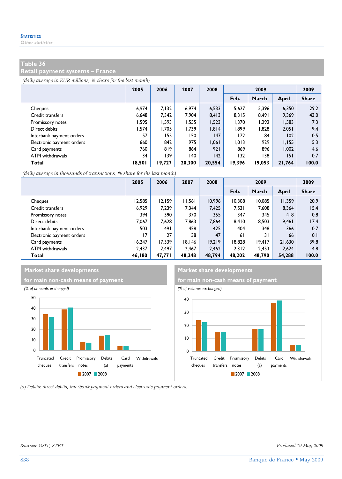**Retail payment systems – France** 

*(daily average in EUR millions, % share for the last month)*

|                           | 2005   | 2006   | 2007   | 2008   | 2009   |        |        | 2009         |
|---------------------------|--------|--------|--------|--------|--------|--------|--------|--------------|
|                           |        |        |        |        | Feb.   | March  | April  | <b>Share</b> |
| Cheques                   | 6.974  | 7.132  | 6.974  | 6,533  | 5,627  | 5.396  | 6,350  | 29.2         |
| Credit transfers          | 6.648  | 7.342  | 7.904  | 8,413  | 8,315  | 8.491  | 9.369  | 43.0         |
| Promissory notes          | 1.595  | 1.593  | 1.555  | 1,523  | 1,370  | 1,292  | 1,583  | 7.3          |
| Direct debits             | 1.574  | 1.705  | 1.739  | 1,814  | 1.899  | 1,828  | 2,051  | 9.4          |
| Interbank payment orders  | 157    | 155    | 150    | 147    | 172    | 84     | 102    | 0.5          |
| Electronic payment orders | 660    | 842    | 975    | 1.061  | 1.013  | 929    | 1.155  | 5.3          |
| Card payments             | 760    | 819    | 864    | 921    | 869    | 896    | 1.002  | 4.6          |
| ATM withdrawals           | 134    | 139    | 140    | 142    | 132    | 138    | 151    | 0.7          |
| Total                     | 18,501 | 19,727 | 20,300 | 20,554 | 19,396 | 19,053 | 21,764 | 100.0        |

*(daily average in thousands of transactions, % share for the last month)*

|                           | 2005   | 2006   | 2007   | 2008   | 2009   |        |        | 2009         |
|---------------------------|--------|--------|--------|--------|--------|--------|--------|--------------|
|                           |        |        |        |        | Feb.   | March  | April  | <b>Share</b> |
| Cheques                   | 12.585 | 12.159 | 11,561 | 10.996 | 10.308 | 10.085 | 11.359 | 20.9         |
| Credit transfers          | 6.929  | 7.239  | 7.344  | 7,425  | 7,531  | 7,608  | 8,364  | 15.4         |
| Promissory notes          | 394    | 390    | 370    | 355    | 347    | 345    | 418    | 0.8          |
| Direct debits             | 7.067  | 7.628  | 7.863  | 7.864  | 8.410  | 8.503  | 9,461  | 17.4         |
| Interbank payment orders  | 503    | 491    | 458    | 425    | 404    | 348    | 366    | 0.7          |
| Electronic payment orders | 17     | 27     | 38     | 47     | 61     | 31     | 66     | 0.1          |
| Card payments             | 16.247 | 17.339 | 18.146 | 19.219 | 18.828 | 19.417 | 21.630 | 39.8         |
| ATM withdrawals           | 2.437  | 2.497  | 2.467  | 2.462  | 2.312  | 2.453  | 2.624  | 4.8          |
| Total                     | 46.180 | 47.771 | 48.248 | 48.794 | 48.202 | 48.790 | 54,288 | 100.0        |



**Market share developments** Market share developments



*(a) Debits: direct debits, interbank payment orders and electronic payment orders.*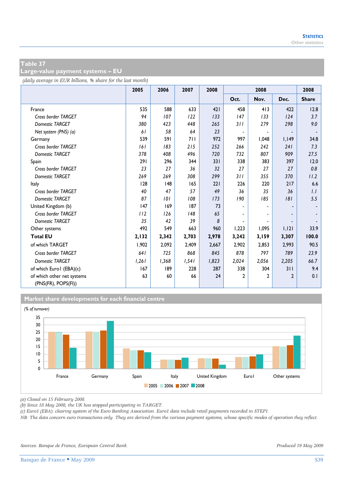**Large-value payment systems – EU** 

*(daily average in EUR billions, % share for the last month)*

|                                                   | 2005  | 2006  | 2007  | 2008  |                          | 2008         |              | 2008         |
|---------------------------------------------------|-------|-------|-------|-------|--------------------------|--------------|--------------|--------------|
|                                                   |       |       |       |       | Oct.                     | Nov.         | Dec.         | <b>Share</b> |
| France                                            | 535   | 588   | 633   | 421   | 458                      | 413          | 422          | 12.8         |
| Cross border TARGET                               | 94    | 107   | 122   | 133   | 147                      | 133          | 124          | 3.7          |
| <b>Domestic TARGET</b>                            | 380   | 423   | 448   | 265   | 311                      | 279          | 298          | 9.0          |
| Net system (PNS) (a)                              | 61    | 58    | 64    | 23    | $\overline{a}$           |              |              |              |
| Germany                                           | 539   | 591   | 711   | 972   | 997                      | 1,048        | 1,149        | 34.8         |
| Cross border TARGET                               | 161   | 183   | 215   | 252   | 266                      | 242          | 241          | 7.3          |
| <b>Domestic TARGET</b>                            | 378   | 408   | 496   | 720   | 732                      | 807          | 909          | 27.5         |
| Spain                                             | 291   | 296   | 344   | 331   | 338                      | 383          | 397          | 12.0         |
| Cross border TARGET                               | 23    | 27    | 36    | 32    | 27                       | 27           | 27           | 0.8          |
| <b>Domestic TARGET</b>                            | 269   | 269   | 308   | 299   | 311                      | 355          | 370          | 11.2         |
| Italy                                             | 128   | 48    | 165   | 221   | 226                      | 220          | 217          | 6.6          |
| Cross border TARGET                               | 40    | 47    | 57    | 49    | 36                       | 35           | 36           | 1.1          |
| <b>Domestic TARGET</b>                            | 87    | 101   | 108   | 173   | 190                      | 185          | 8            | 5.5          |
| United Kingdom (b)                                | 147   | 169   | 187   | 73    |                          |              |              |              |
| Cross border TARGET                               | 112   | 126   | 148   | 65    |                          |              |              |              |
| <b>Domestic TARGET</b>                            | 35    | 42    | 39    | 8     | $\overline{\phantom{a}}$ |              |              |              |
| Other systems                                     | 492   | 549   | 663   | 960   | 1,223                    | 1,095        | 1,121        | 33.9         |
| <b>Total EU</b>                                   | 2,132 | 2,342 | 2,703 | 2,978 | 3,242                    | 3,159        | 3,307        | 100.0        |
| of which TARGET                                   | 1,902 | 2,092 | 2,409 | 2,667 | 2,902                    | 2,853        | 2,993        | 90.5         |
| Cross border TARGET                               | 641   | 725   | 868   | 845   | 878                      | 797          | 789          | 23.9         |
| <b>Domestic TARGET</b>                            | 1,261 | 1,368 | 1,541 | 1,823 | 2,024                    | 2,056        | 2,205        | 66.7         |
| of which Euro I (EBA)(c)                          | 167   | 189   | 228   | 287   | 338                      | 304          | 311          | 9.4          |
| of which other net systems<br>(PNS(FR), POPS(FI)) | 63    | 60    | 66    | 24    | $\mathbf{2}$             | $\mathbf{c}$ | $\mathbf{2}$ | 0.1          |



*(a) Closed on 15 February 2008.* 

*(b) Since 18 May 2008, the UK has stopped participating in TARGET.* 

*(c) Euro1 (EBA): clearing system of the Euro Banking Association. Euro1 data include retail payments recorded in STEP1.* 

*NB: The data concern euro transactions only. They are derived from the various payment systems, whose specific modes of operation they reflect.*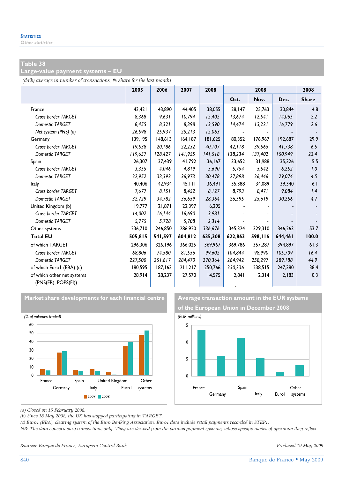#### **Large-value payment systems – EU**

*(daily average in number of transactions, % share for the last month)*

|                                                   | 2005    | 2006    | 2007    | 2008    |         | 2008    |         | 2008         |
|---------------------------------------------------|---------|---------|---------|---------|---------|---------|---------|--------------|
|                                                   |         |         |         |         | Oct.    | Nov.    | Dec.    | <b>Share</b> |
| France                                            | 43,421  | 43.890  | 44,405  | 38,055  | 28,147  | 25,763  | 30,844  | 4.8          |
| Cross border TARGET                               | 8,368   | 9,631   | 10,794  | 12,402  | 13,674  | 12,541  | 14,065  | 2.2          |
| <b>Domestic TARGET</b>                            | 8,455   | 8,321   | 8.398   | 13,590  | 14,474  | 13,221  | 16,779  | 2.6          |
| Net system (PNS) (a)                              | 26,598  | 25,937  | 25,213  | 12,063  |         |         |         |              |
| Germany                                           | 139,195 | 148,613 | 164,187 | 181,625 | 180,352 | 176,967 | 192,687 | 29.9         |
| Cross border TARGET                               | 19.538  | 20,186  | 22,232  | 40,107  | 42.118  | 39,565  | 41,738  | 6.5          |
| <b>Domestic TARGET</b>                            | 119,657 | 128,427 | 141,955 | 141,518 | 138,234 | 137,402 | 150,949 | 23.4         |
| Spain                                             | 26,307  | 37.439  | 41.792  | 36.167  | 33.652  | 31,988  | 35,326  | 5.5          |
| Cross border TARGET                               | 3,355   | 4,046   | 4,819   | 5,690   | 5,754   | 5,542   | 6,252   | 1.0          |
| Domestic TARGET                                   | 22,952  | 33,393  | 36,973  | 30,478  | 27,898  | 26,446  | 29,074  | 4.5          |
| Italy                                             | 40,406  | 42,934  | 45,111  | 36,491  | 35,388  | 34,089  | 39,340  | 6.1          |
| Cross border TARGET                               | 7,677   | 8,151   | 8,452   | 8,127   | 8,793   | 8,471   | 9,084   | 1.4          |
| Domestic TARGET                                   | 32,729  | 34,782  | 36,659  | 28,364  | 26,595  | 25,619  | 30,256  | 4.7          |
| United Kingdom (b)                                | 19,777  | 21.871  | 22.397  | 6,295   |         |         |         |              |
| Cross border TARGET                               | 14,002  | 16, 144 | 16,690  | 3,981   |         |         |         |              |
| <b>Domestic TARGET</b>                            | 5,775   | 5,728   | 5,708   | 2,314   |         |         |         |              |
| Other systems                                     | 236,710 | 246,850 | 286,920 | 336,676 | 345,324 | 329,310 | 346,263 | 53.7         |
| <b>Total EU</b>                                   | 505,815 | 541,597 | 604,812 | 635,308 | 622,863 | 598,116 | 644,461 | 100.0        |
| of which TARGET                                   | 296,306 | 326,196 | 366,025 | 369,967 | 369,786 | 357,287 | 394,897 | 61.3         |
| Cross border TARGET                               | 68.806  | 74.580  | 81.556  | 99.602  | 104.844 | 98.990  | 105,709 | 16.4         |
| <b>Domestic TARGET</b>                            | 227,500 | 251,617 | 284,470 | 270,364 | 264,942 | 258,297 | 289,188 | 44.9         |
| of which Euro I (EBA) (c)                         | 180,595 | 187,163 | 211,217 | 250,766 | 250,236 | 238,515 | 247,380 | 38.4         |
| of which other net systems<br>(PNS(FR), POPS(FI)) | 28,914  | 28,237  | 27,570  | 14,575  | 2,841   | 2,314   | 2,183   | 0.3          |



Market share developments for each financial centre **Average transaction amount in the EUR systems** 

**of the European Union in December 2008**



*(a) Closed on 15 February 2008.* 

*(b) Since 18 May 2008, the UK has stopped participating in TARGET.* 

*(c) Euro1 (EBA): clearing system of the Euro Banking Association. Euro1 data include retail payments recorded in STEP1.* 

*NB: The data concern euro transactions only. They are derived from the various payment systems, whose specific modes of operation they reflect.* 

*Sources: Banque de France, European Central Bank. Produced 19 May 2009*